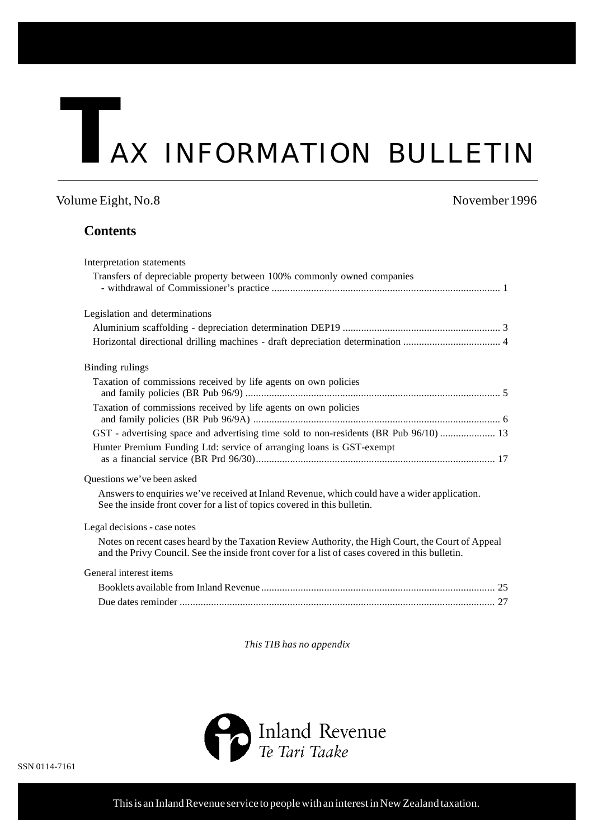# **TAX INFORMATION BULLETIN**

# Volume Eight, No.8 November 1996

# **Contents**

| Interpretation statements                                                                                                                                                                            |
|------------------------------------------------------------------------------------------------------------------------------------------------------------------------------------------------------|
| Transfers of depreciable property between 100% commonly owned companies                                                                                                                              |
| Legislation and determinations                                                                                                                                                                       |
|                                                                                                                                                                                                      |
|                                                                                                                                                                                                      |
| Binding rulings                                                                                                                                                                                      |
| Taxation of commissions received by life agents on own policies                                                                                                                                      |
| Taxation of commissions received by life agents on own policies                                                                                                                                      |
| GST - advertising space and advertising time sold to non-residents (BR Pub 96/10)  13                                                                                                                |
| Hunter Premium Funding Ltd: service of arranging loans is GST-exempt                                                                                                                                 |
|                                                                                                                                                                                                      |
| Questions we've been asked                                                                                                                                                                           |
| Answers to enquiries we've received at Inland Revenue, which could have a wider application.<br>See the inside front cover for a list of topics covered in this bulletin.                            |
| Legal decisions - case notes                                                                                                                                                                         |
| Notes on recent cases heard by the Taxation Review Authority, the High Court, the Court of Appeal<br>and the Privy Council. See the inside front cover for a list of cases covered in this bulletin. |
| General interest items                                                                                                                                                                               |
|                                                                                                                                                                                                      |
|                                                                                                                                                                                                      |

*This TIB has no appendix*

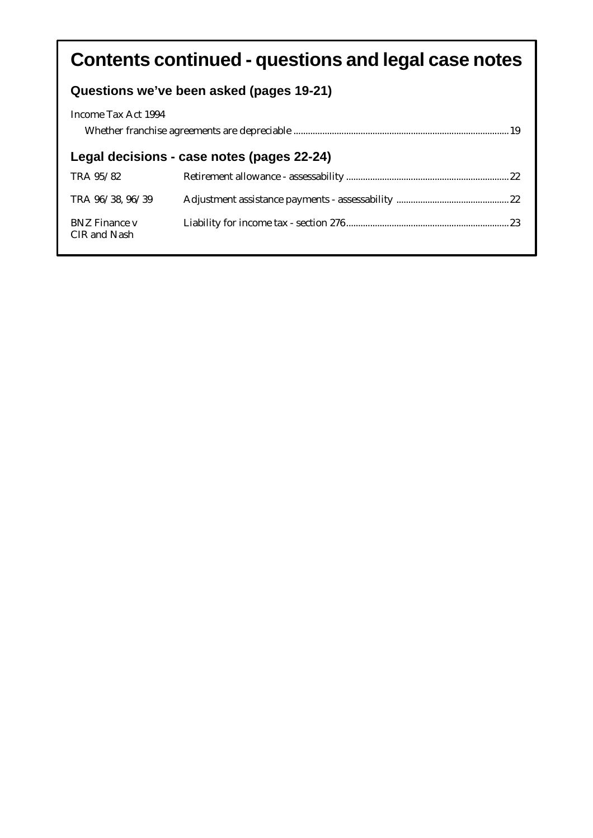# **Contents continued - questions and legal case notes**

# **Questions we've been asked (pages 19-21)**

| Income Tax Act 1994                        |  |  |  |  |
|--------------------------------------------|--|--|--|--|
|                                            |  |  |  |  |
| Legal decisions - case notes (pages 22-24) |  |  |  |  |
| TRA 95/82                                  |  |  |  |  |
| TRA 96/38, 96/39                           |  |  |  |  |
| <b>BNZ</b> Finance v<br>CIR and Nash       |  |  |  |  |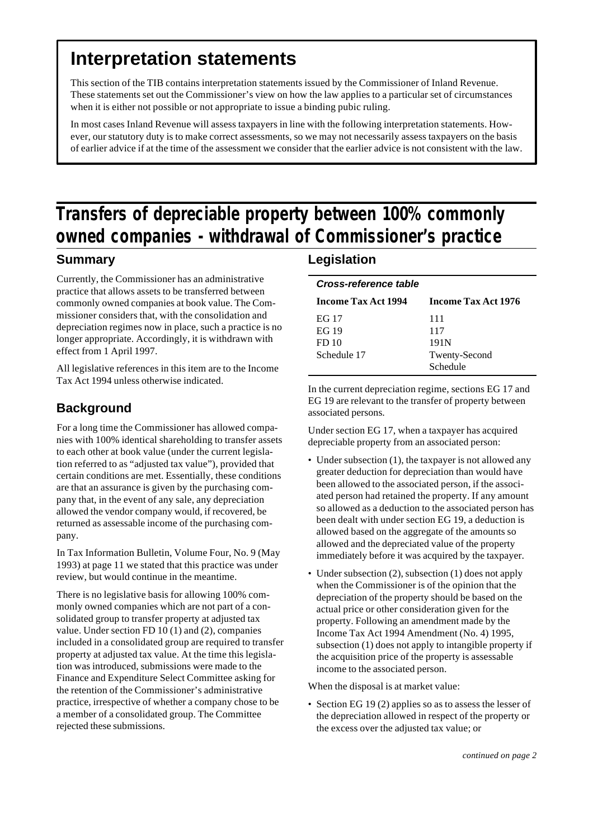# **Interpretation statements**

This section of the TIB contains interpretation statements issued by the Commissioner of Inland Revenue. These statements set out the Commissioner's view on how the law applies to a particular set of circumstances when it is either not possible or not appropriate to issue a binding pubic ruling.

In most cases Inland Revenue will assess taxpayers in line with the following interpretation statements. However, our statutory duty is to make correct assessments, so we may not necessarily assess taxpayers on the basis of earlier advice if at the time of the assessment we consider that the earlier advice is not consistent with the law.

# **Transfers of depreciable property between 100% commonly owned companies - withdrawal of Commissioner's practice**

# **Summary**

Currently, the Commissioner has an administrative practice that allows assets to be transferred between commonly owned companies at book value. The Commissioner considers that, with the consolidation and depreciation regimes now in place, such a practice is no longer appropriate. Accordingly, it is withdrawn with effect from 1 April 1997.

All legislative references in this item are to the Income Tax Act 1994 unless otherwise indicated.

# **Background**

For a long time the Commissioner has allowed companies with 100% identical shareholding to transfer assets to each other at book value (under the current legislation referred to as "adjusted tax value"), provided that certain conditions are met. Essentially, these conditions are that an assurance is given by the purchasing company that, in the event of any sale, any depreciation allowed the vendor company would, if recovered, be returned as assessable income of the purchasing company.

In Tax Information Bulletin, Volume Four, No. 9 (May 1993) at page 11 we stated that this practice was under review, but would continue in the meantime.

There is no legislative basis for allowing 100% commonly owned companies which are not part of a consolidated group to transfer property at adjusted tax value. Under section FD 10 (1) and (2), companies included in a consolidated group are required to transfer property at adjusted tax value. At the time this legislation was introduced, submissions were made to the Finance and Expenditure Select Committee asking for the retention of the Commissioner's administrative practice, irrespective of whether a company chose to be a member of a consolidated group. The Committee rejected these submissions.

# **Legislation**

| Cross-reference table      |                            |  |  |  |
|----------------------------|----------------------------|--|--|--|
| <b>Income Tax Act 1994</b> | <b>Income Tax Act 1976</b> |  |  |  |
| EG 17                      | 111                        |  |  |  |
| EG 19                      | 117                        |  |  |  |
| FD <sub>10</sub>           | 191N                       |  |  |  |
| Schedule 17                | Twenty-Second              |  |  |  |
|                            | Schedule                   |  |  |  |

In the current depreciation regime, sections EG 17 and EG 19 are relevant to the transfer of property between associated persons.

Under section EG 17, when a taxpayer has acquired depreciable property from an associated person:

- Under subsection (1), the taxpayer is not allowed any greater deduction for depreciation than would have been allowed to the associated person, if the associated person had retained the property. If any amount so allowed as a deduction to the associated person has been dealt with under section EG 19, a deduction is allowed based on the aggregate of the amounts so allowed and the depreciated value of the property immediately before it was acquired by the taxpayer.
- Under subsection (2), subsection (1) does not apply when the Commissioner is of the opinion that the depreciation of the property should be based on the actual price or other consideration given for the property. Following an amendment made by the Income Tax Act 1994 Amendment (No. 4) 1995, subsection (1) does not apply to intangible property if the acquisition price of the property is assessable income to the associated person.

When the disposal is at market value:

• Section EG 19 (2) applies so as to assess the lesser of the depreciation allowed in respect of the property or the excess over the adjusted tax value; or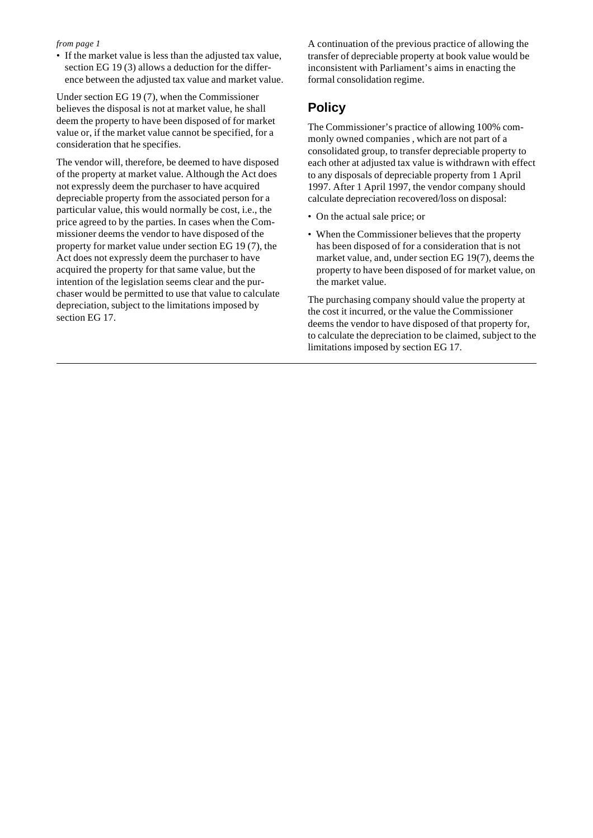• If the market value is less than the adjusted tax value, section EG 19 (3) allows a deduction for the difference between the adjusted tax value and market value.

Under section EG 19 (7), when the Commissioner believes the disposal is not at market value, he shall deem the property to have been disposed of for market value or, if the market value cannot be specified, for a consideration that he specifies.

The vendor will, therefore, be deemed to have disposed of the property at market value. Although the Act does not expressly deem the purchaser to have acquired depreciable property from the associated person for a particular value, this would normally be cost, i.e., the price agreed to by the parties. In cases when the Commissioner deems the vendor to have disposed of the property for market value under section EG 19 (7), the Act does not expressly deem the purchaser to have acquired the property for that same value, but the intention of the legislation seems clear and the purchaser would be permitted to use that value to calculate depreciation, subject to the limitations imposed by section EG 17.

A continuation of the previous practice of allowing the transfer of depreciable property at book value would be inconsistent with Parliament's aims in enacting the formal consolidation regime.

# **Policy**

The Commissioner's practice of allowing 100% commonly owned companies , which are not part of a consolidated group, to transfer depreciable property to each other at adjusted tax value is withdrawn with effect to any disposals of depreciable property from 1 April 1997. After 1 April 1997, the vendor company should calculate depreciation recovered/loss on disposal:

- On the actual sale price; or
- When the Commissioner believes that the property has been disposed of for a consideration that is not market value, and, under section EG 19(7), deems the property to have been disposed of for market value, on the market value.

The purchasing company should value the property at the cost it incurred, or the value the Commissioner deems the vendor to have disposed of that property for, to calculate the depreciation to be claimed, subject to the limitations imposed by section EG 17.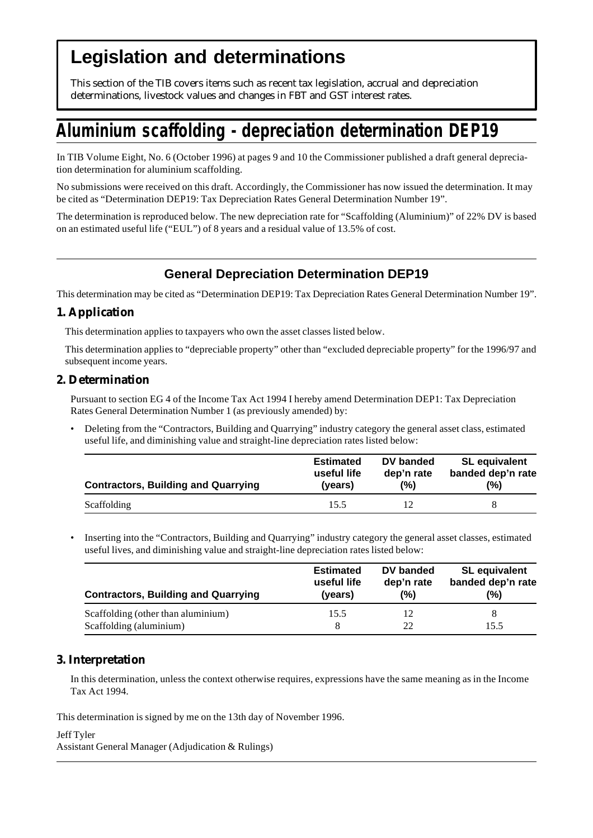# **Legislation and determinations**

This section of the TIB covers items such as recent tax legislation, accrual and depreciation determinations, livestock values and changes in FBT and GST interest rates.

# **Aluminium scaffolding - depreciation determination DEP19**

In TIB Volume Eight, No. 6 (October 1996) at pages 9 and 10 the Commissioner published a draft general depreciation determination for aluminium scaffolding.

No submissions were received on this draft. Accordingly, the Commissioner has now issued the determination. It may be cited as "Determination DEP19: Tax Depreciation Rates General Determination Number 19".

The determination is reproduced below. The new depreciation rate for "Scaffolding (Aluminium)" of 22% DV is based on an estimated useful life ("EUL") of 8 years and a residual value of 13.5% of cost.

# **General Depreciation Determination DEP19**

This determination may be cited as "Determination DEP19: Tax Depreciation Rates General Determination Number 19".

## **1. Application**

This determination applies to taxpayers who own the asset classes listed below.

This determination applies to "depreciable property" other than "excluded depreciable property" for the 1996/97 and subsequent income years.

## **2. Determination**

Pursuant to section EG 4 of the Income Tax Act 1994 I hereby amend Determination DEP1: Tax Depreciation Rates General Determination Number 1 (as previously amended) by:

• Deleting from the "Contractors, Building and Quarrying" industry category the general asset class, estimated useful life, and diminishing value and straight-line depreciation rates listed below:

| <b>Contractors, Building and Quarrying</b> | <b>Estimated</b> | DV banded  | <b>SL</b> equivalent |
|--------------------------------------------|------------------|------------|----------------------|
|                                            | useful life      | dep'n rate | banded dep'n rate    |
|                                            | (years)          | (%)        | (%)                  |
| Scaffolding                                | 15.5             |            |                      |

• Inserting into the "Contractors, Building and Quarrying" industry category the general asset classes, estimated useful lives, and diminishing value and straight-line depreciation rates listed below:

| <b>Contractors, Building and Quarrying</b> | <b>Estimated</b> | DV banded  | <b>SL</b> equivalent |
|--------------------------------------------|------------------|------------|----------------------|
|                                            | useful life      | dep'n rate | banded dep'n rate    |
|                                            | (years)          | $(\%)$     | (%)                  |
| Scaffolding (other than aluminium)         | 15.5             | 12         | 8                    |
| Scaffolding (aluminium)                    | 8                | 22         | 15.5                 |

# **3. Interpretation**

In this determination, unless the context otherwise requires, expressions have the same meaning as in the Income Tax Act 1994.

This determination is signed by me on the 13th day of November 1996.

Jeff Tyler Assistant General Manager (Adjudication & Rulings)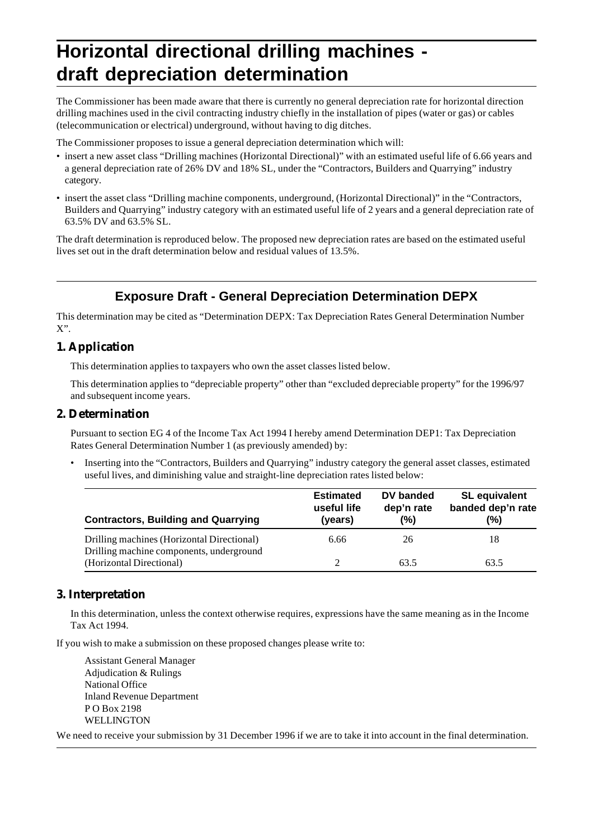# **Horizontal directional drilling machines draft depreciation determination**

The Commissioner has been made aware that there is currently no general depreciation rate for horizontal direction drilling machines used in the civil contracting industry chiefly in the installation of pipes (water or gas) or cables (telecommunication or electrical) underground, without having to dig ditches.

The Commissioner proposes to issue a general depreciation determination which will:

- insert a new asset class "Drilling machines (Horizontal Directional)" with an estimated useful life of 6.66 years and a general depreciation rate of 26% DV and 18% SL, under the "Contractors, Builders and Quarrying" industry category.
- insert the asset class "Drilling machine components, underground, (Horizontal Directional)" in the "Contractors, Builders and Quarrying" industry category with an estimated useful life of 2 years and a general depreciation rate of 63.5% DV and 63.5% SL.

The draft determination is reproduced below. The proposed new depreciation rates are based on the estimated useful lives set out in the draft determination below and residual values of 13.5%.

# **Exposure Draft - General Depreciation Determination DEPX**

This determination may be cited as "Determination DEPX: Tax Depreciation Rates General Determination Number X".

## **1. Application**

This determination applies to taxpayers who own the asset classes listed below.

This determination applies to "depreciable property" other than "excluded depreciable property" for the 1996/97 and subsequent income years.

## **2. Determination**

Pursuant to section EG 4 of the Income Tax Act 1994 I hereby amend Determination DEP1: Tax Depreciation Rates General Determination Number 1 (as previously amended) by:

• Inserting into the "Contractors, Builders and Quarrying" industry category the general asset classes, estimated useful lives, and diminishing value and straight-line depreciation rates listed below:

| <b>Contractors, Building and Quarrying</b>                                             | <b>Estimated</b><br>useful life<br>(years) | DV banded<br>dep'n rate<br>(%) | <b>SL</b> equivalent<br>banded dep'n rate<br>(%) |
|----------------------------------------------------------------------------------------|--------------------------------------------|--------------------------------|--------------------------------------------------|
| Drilling machines (Horizontal Directional)<br>Drilling machine components, underground | 6.66                                       | 26                             | 18                                               |
| (Horizontal Directional)                                                               |                                            | 63.5                           | 63.5                                             |

## **3. Interpretation**

In this determination, unless the context otherwise requires, expressions have the same meaning as in the Income Tax Act 1994.

If you wish to make a submission on these proposed changes please write to:

Assistant General Manager Adjudication & Rulings National Office Inland Revenue Department P O Box 2198 WELLINGTON

We need to receive your submission by 31 December 1996 if we are to take it into account in the final determination.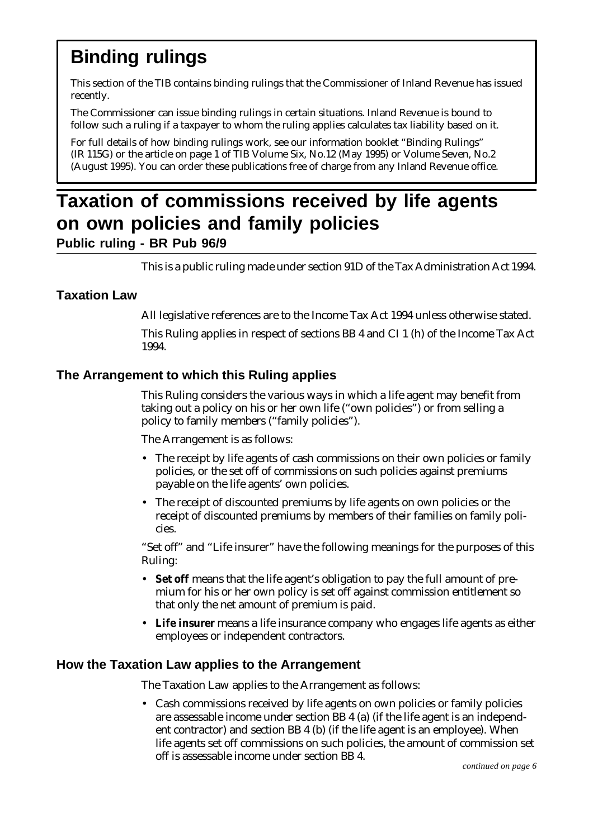# **Binding rulings**

This section of the TIB contains binding rulings that the Commissioner of Inland Revenue has issued recently.

The Commissioner can issue binding rulings in certain situations. Inland Revenue is bound to follow such a ruling if a taxpayer to whom the ruling applies calculates tax liability based on it.

For full details of how binding rulings work, see our information booklet "Binding Rulings" (IR 115G) or the article on page 1 of TIB Volume Six, No.12 (May 1995) or Volume Seven, No.2 (August 1995). You can order these publications free of charge from any Inland Revenue office.

# **Taxation of commissions received by life agents on own policies and family policies Public ruling - BR Pub 96/9**

This is a public ruling made under section 91D of the Tax Administration Act 1994.

# **Taxation Law**

All legislative references are to the Income Tax Act 1994 unless otherwise stated.

This Ruling applies in respect of sections BB 4 and CI 1 (h) of the Income Tax Act 1994.

# **The Arrangement to which this Ruling applies**

This Ruling considers the various ways in which a life agent may benefit from taking out a policy on his or her own life ("own policies") or from selling a policy to family members ("family policies").

The Arrangement is as follows:

- The receipt by life agents of cash commissions on their own policies or family policies, or the set off of commissions on such policies against premiums payable on the life agents' own policies.
- The receipt of discounted premiums by life agents on own policies or the receipt of discounted premiums by members of their families on family policies.

"Set off" and "Life insurer" have the following meanings for the purposes of this Ruling:

- **Set off** means that the life agent's obligation to pay the full amount of premium for his or her own policy is set off against commission entitlement so that only the net amount of premium is paid.
- **Life insurer** means a life insurance company who engages life agents as either employees or independent contractors.

# **How the Taxation Law applies to the Arrangement**

The Taxation Law applies to the Arrangement as follows:

• Cash commissions received by life agents on own policies or family policies are assessable income under section BB 4 (a) (if the life agent is an independent contractor) and section BB 4 (b) (if the life agent is an employee). When life agents set off commissions on such policies, the amount of commission set off is assessable income under section BB 4.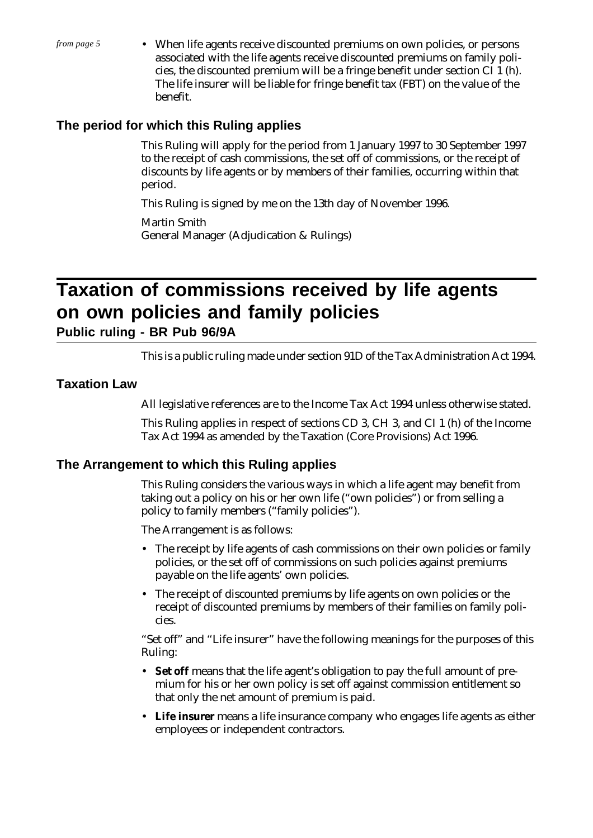• When life agents receive discounted premiums on own policies, or persons associated with the life agents receive discounted premiums on family policies, the discounted premium will be a fringe benefit under section CI 1 (h). The life insurer will be liable for fringe benefit tax (FBT) on the value of the benefit.

# **The period for which this Ruling applies**

This Ruling will apply for the period from 1 January 1997 to 30 September 1997 to the receipt of cash commissions, the set off of commissions, or the receipt of discounts by life agents or by members of their families, occurring within that period.

This Ruling is signed by me on the 13th day of November 1996.

Martin Smith General Manager (Adjudication & Rulings)

# **Taxation of commissions received by life agents on own policies and family policies**

**Public ruling - BR Pub 96/9A**

This is a public ruling made under section 91D of the Tax Administration Act 1994.

# **Taxation Law**

All legislative references are to the Income Tax Act 1994 unless otherwise stated.

This Ruling applies in respect of sections CD 3, CH 3, and CI 1 (h) of the Income Tax Act 1994 as amended by the Taxation (Core Provisions) Act 1996.

# **The Arrangement to which this Ruling applies**

This Ruling considers the various ways in which a life agent may benefit from taking out a policy on his or her own life ("own policies") or from selling a policy to family members ("family policies").

The Arrangement is as follows:

- The receipt by life agents of cash commissions on their own policies or family policies, or the set off of commissions on such policies against premiums payable on the life agents' own policies.
- The receipt of discounted premiums by life agents on own policies or the receipt of discounted premiums by members of their families on family policies.

"Set off" and "Life insurer" have the following meanings for the purposes of this Ruling:

- **Set off** means that the life agent's obligation to pay the full amount of premium for his or her own policy is set off against commission entitlement so that only the net amount of premium is paid.
- **Life insurer** means a life insurance company who engages life agents as either employees or independent contractors.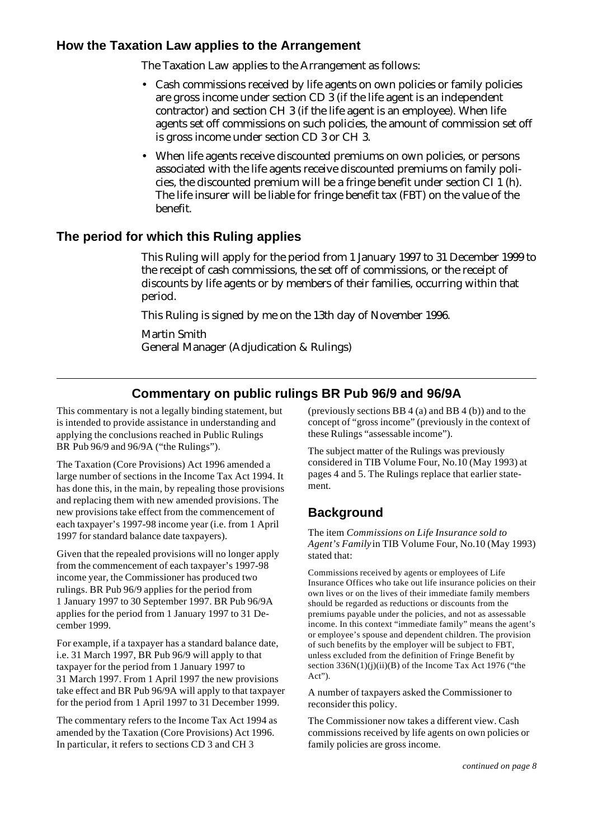# **How the Taxation Law applies to the Arrangement**

The Taxation Law applies to the Arrangement as follows:

- Cash commissions received by life agents on own policies or family policies are gross income under section CD 3 (if the life agent is an independent contractor) and section CH 3 (if the life agent is an employee). When life agents set off commissions on such policies, the amount of commission set off is gross income under section CD 3 or CH 3.
- When life agents receive discounted premiums on own policies, or persons associated with the life agents receive discounted premiums on family policies, the discounted premium will be a fringe benefit under section CI 1 (h). The life insurer will be liable for fringe benefit tax (FBT) on the value of the benefit.

# **The period for which this Ruling applies**

This Ruling will apply for the period from 1 January 1997 to 31 December 1999 to the receipt of cash commissions, the set off of commissions, or the receipt of discounts by life agents or by members of their families, occurring within that period.

This Ruling is signed by me on the 13th day of November 1996.

Martin Smith General Manager (Adjudication & Rulings)

# **Commentary on public rulings BR Pub 96/9 and 96/9A**

This commentary is not a legally binding statement, but is intended to provide assistance in understanding and applying the conclusions reached in Public Rulings BR Pub 96/9 and 96/9A ("the Rulings").

The Taxation (Core Provisions) Act 1996 amended a large number of sections in the Income Tax Act 1994. It has done this, in the main, by repealing those provisions and replacing them with new amended provisions. The new provisions take effect from the commencement of each taxpayer's 1997-98 income year (i.e. from 1 April 1997 for standard balance date taxpayers).

Given that the repealed provisions will no longer apply from the commencement of each taxpayer's 1997-98 income year, the Commissioner has produced two rulings. BR Pub 96/9 applies for the period from 1 January 1997 to 30 September 1997. BR Pub 96/9A applies for the period from 1 January 1997 to 31 December 1999.

For example, if a taxpayer has a standard balance date, i.e. 31 March 1997, BR Pub 96/9 will apply to that taxpayer for the period from 1 January 1997 to 31 March 1997. From 1 April 1997 the new provisions take effect and BR Pub 96/9A will apply to that taxpayer for the period from 1 April 1997 to 31 December 1999.

The commentary refers to the Income Tax Act 1994 as amended by the Taxation (Core Provisions) Act 1996. In particular, it refers to sections CD 3 and CH 3

(previously sections BB 4 (a) and BB 4 (b)) and to the concept of "gross income" (previously in the context of these Rulings "assessable income").

The subject matter of the Rulings was previously considered in TIB Volume Four, No.10 (May 1993) at pages 4 and 5. The Rulings replace that earlier statement.

# **Background**

The item *Commissions on Life Insurance sold to Agent's Family* in TIB Volume Four, No.10 (May 1993) stated that:

Commissions received by agents or employees of Life Insurance Offices who take out life insurance policies on their own lives or on the lives of their immediate family members should be regarded as reductions or discounts from the premiums payable under the policies, and not as assessable income. In this context "immediate family" means the agent's or employee's spouse and dependent children. The provision of such benefits by the employer will be subject to FBT, unless excluded from the definition of Fringe Benefit by section  $336N(1)(i)(ii)(B)$  of the Income Tax Act 1976 ("the Act").

A number of taxpayers asked the Commissioner to reconsider this policy.

The Commissioner now takes a different view. Cash commissions received by life agents on own policies or family policies are gross income.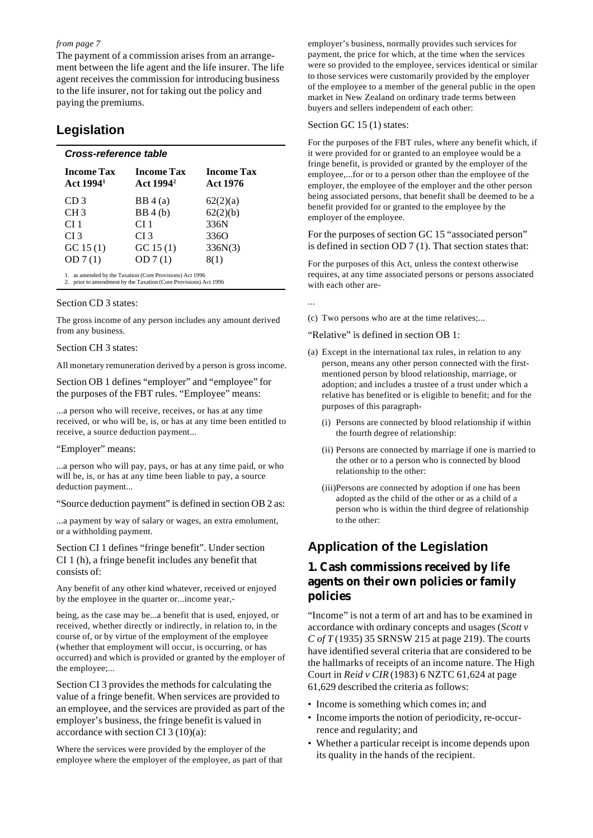The payment of a commission arises from an arrangement between the life agent and the life insurer. The life agent receives the commission for introducing business to the life insurer, not for taking out the policy and paying the premiums.

## **Legislation**

| <b>Income Tax</b><br>Act 1994 <sup>1</sup> | <b>Income Tax</b><br>Act 1994 <sup>2</sup> | <b>Income Tax</b><br><b>Act 1976</b> |
|--------------------------------------------|--------------------------------------------|--------------------------------------|
| CD <sub>3</sub>                            | BB4(a)                                     | 62(2)(a)                             |
| CH <sub>3</sub>                            | BB4(b)                                     | 62(2)(b)                             |
| CI 1                                       | CI 1                                       | 336N                                 |
| CI <sub>3</sub>                            | CI 3                                       | 336O                                 |
| GC 15(1)                                   | GC 15(1)                                   | 336N(3)                              |
| OD7(1)                                     | OD7(1)                                     | 8(1)                                 |

#### Section CD 3 states:

The gross income of any person includes any amount derived from any business.

#### Section CH 3 states:

All monetary remuneration derived by a person is gross income.

Section OB 1 defines "employer" and "employee" for the purposes of the FBT rules. "Employee" means:

...a person who will receive, receives, or has at any time received, or who will be, is, or has at any time been entitled to receive, a source deduction payment...

#### "Employer" means:

...a person who will pay, pays, or has at any time paid, or who will be, is, or has at any time been liable to pay, a source deduction payment...

"Source deduction payment" is defined in section OB 2 as:

...a payment by way of salary or wages, an extra emolument, or a withholding payment.

Section CI 1 defines "fringe benefit". Under section CI 1 (h), a fringe benefit includes any benefit that consists of:

Any benefit of any other kind whatever, received or enjoyed by the employee in the quarter or...income year,-

being, as the case may be...a benefit that is used, enjoyed, or received, whether directly or indirectly, in relation to, in the course of, or by virtue of the employment of the employee (whether that employment will occur, is occurring, or has occurred) and which is provided or granted by the employer of the employee;...

Section CI 3 provides the methods for calculating the value of a fringe benefit. When services are provided to an employee, and the services are provided as part of the employer's business, the fringe benefit is valued in accordance with section CI  $3(10)(a)$ :

Where the services were provided by the employer of the employee where the employer of the employee, as part of that employer's business, normally provides such services for payment, the price for which, at the time when the services were so provided to the employee, services identical or similar to those services were customarily provided by the employer of the employee to a member of the general public in the open market in New Zealand on ordinary trade terms between buyers and sellers independent of each other:

#### Section GC 15 (1) states:

For the purposes of the FBT rules, where any benefit which, if it were provided for or granted to an employee would be a fringe benefit, is provided or granted by the employer of the employee,...for or to a person other than the employee of the employer, the employee of the employer and the other person being associated persons, that benefit shall be deemed to be a benefit provided for or granted to the employee by the employer of the employee.

For the purposes of section GC 15 "associated person" is defined in section OD 7 (1). That section states that:

For the purposes of this Act, unless the context otherwise requires, at any time associated persons or persons associated with each other are-

...

(c) Two persons who are at the time relatives;...

"Relative" is defined in section OB 1:

- (a) Except in the international tax rules, in relation to any person, means any other person connected with the firstmentioned person by blood relationship, marriage, or adoption; and includes a trustee of a trust under which a relative has benefited or is eligible to benefit; and for the purposes of this paragraph-
	- (i) Persons are connected by blood relationship if within the fourth degree of relationship:
	- (ii) Persons are connected by marriage if one is married to the other or to a person who is connected by blood relationship to the other:
	- (iii)Persons are connected by adoption if one has been adopted as the child of the other or as a child of a person who is within the third degree of relationship to the other:

# **Application of the Legislation**

## **1. Cash commissions received by life agents on their own policies or family policies**

"Income" is not a term of art and has to be examined in accordance with ordinary concepts and usages (*Scott v C of T* (1935) 35 SRNSW 215 at page 219). The courts have identified several criteria that are considered to be the hallmarks of receipts of an income nature. The High Court in *Reid v CIR* (1983) 6 NZTC 61,624 at page 61,629 described the criteria as follows:

- Income is something which comes in; and
- Income imports the notion of periodicity, re-occurrence and regularity; and
- Whether a particular receipt is income depends upon its quality in the hands of the recipient.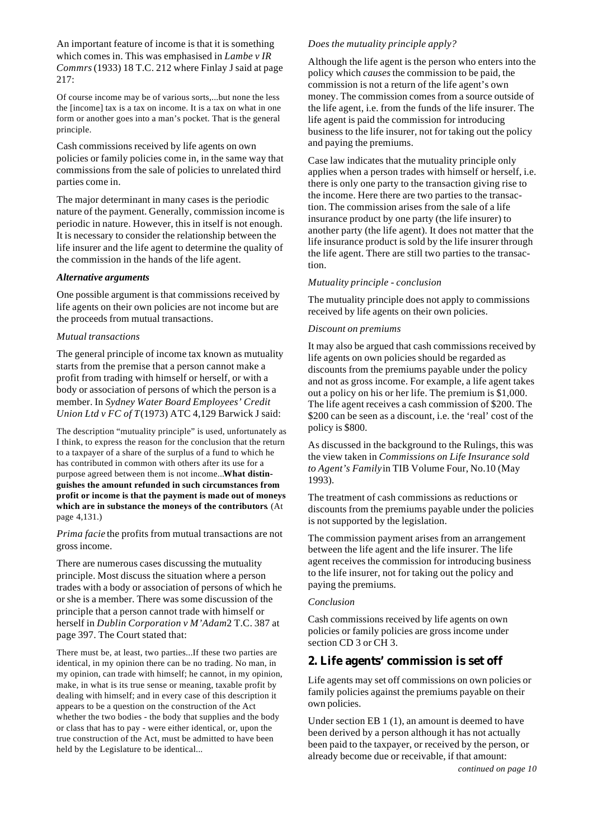An important feature of income is that it is something which comes in. This was emphasised in *Lambe v IR Commrs* (1933) 18 T.C. 212 where Finlay J said at page 217:

Of course income may be of various sorts,...but none the less the [income] tax is a tax on income. It is a tax on what in one form or another goes into a man's pocket. That is the general principle.

Cash commissions received by life agents on own policies or family policies come in, in the same way that commissions from the sale of policies to unrelated third parties come in.

The major determinant in many cases is the periodic nature of the payment. Generally, commission income is periodic in nature. However, this in itself is not enough. It is necessary to consider the relationship between the life insurer and the life agent to determine the quality of the commission in the hands of the life agent.

#### *Alternative arguments*

One possible argument is that commissions received by life agents on their own policies are not income but are the proceeds from mutual transactions.

#### *Mutual transactions*

The general principle of income tax known as mutuality starts from the premise that a person cannot make a profit from trading with himself or herself, or with a body or association of persons of which the person is a member. In *Sydney Water Board Employees' Credit Union Ltd v FC of T* (1973) ATC 4,129 Barwick J said:

The description "mutuality principle" is used, unfortunately as I think, to express the reason for the conclusion that the return to a taxpayer of a share of the surplus of a fund to which he has contributed in common with others after its use for a purpose agreed between them is not income...**What distinguishes the amount refunded in such circumstances from profit or income is that the payment is made out of moneys which are in substance the moneys of the contributors**. (At page 4,131.)

*Prima facie* the profits from mutual transactions are not gross income.

There are numerous cases discussing the mutuality principle. Most discuss the situation where a person trades with a body or association of persons of which he or she is a member. There was some discussion of the principle that a person cannot trade with himself or herself in *Dublin Corporation v M'Adam* 2 T.C. 387 at page 397. The Court stated that:

There must be, at least, two parties...If these two parties are identical, in my opinion there can be no trading. No man, in my opinion, can trade with himself; he cannot, in my opinion, make, in what is its true sense or meaning, taxable profit by dealing with himself; and in every case of this description it appears to be a question on the construction of the Act whether the two bodies - the body that supplies and the body or class that has to pay - were either identical, or, upon the true construction of the Act, must be admitted to have been held by the Legislature to be identical...

#### *Does the mutuality principle apply?*

Although the life agent is the person who enters into the policy which *causes* the commission to be paid, the commission is not a return of the life agent's own money. The commission comes from a source outside of the life agent, i.e. from the funds of the life insurer. The life agent is paid the commission for introducing business to the life insurer, not for taking out the policy and paying the premiums.

Case law indicates that the mutuality principle only applies when a person trades with himself or herself, i.e. there is only one party to the transaction giving rise to the income. Here there are two parties to the transaction. The commission arises from the sale of a life insurance product by one party (the life insurer) to another party (the life agent). It does not matter that the life insurance product is sold by the life insurer through the life agent. There are still two parties to the transaction.

#### *Mutuality principle - conclusion*

The mutuality principle does not apply to commissions received by life agents on their own policies.

#### *Discount on premiums*

It may also be argued that cash commissions received by life agents on own policies should be regarded as discounts from the premiums payable under the policy and not as gross income. For example, a life agent takes out a policy on his or her life. The premium is \$1,000. The life agent receives a cash commission of \$200. The \$200 can be seen as a discount, i.e. the 'real' cost of the policy is \$800.

As discussed in the background to the Rulings, this was the view taken in *Commissions on Life Insurance sold to Agent's Family* in TIB Volume Four, No.10 (May 1993).

The treatment of cash commissions as reductions or discounts from the premiums payable under the policies is not supported by the legislation.

The commission payment arises from an arrangement between the life agent and the life insurer. The life agent receives the commission for introducing business to the life insurer, not for taking out the policy and paying the premiums.

#### *Conclusion*

Cash commissions received by life agents on own policies or family policies are gross income under section CD 3 or CH 3.

#### **2. Life agents' commission is set off**

Life agents may set off commissions on own policies or family policies against the premiums payable on their own policies.

Under section EB 1 (1), an amount is deemed to have been derived by a person although it has not actually been paid to the taxpayer, or received by the person, or already become due or receivable, if that amount: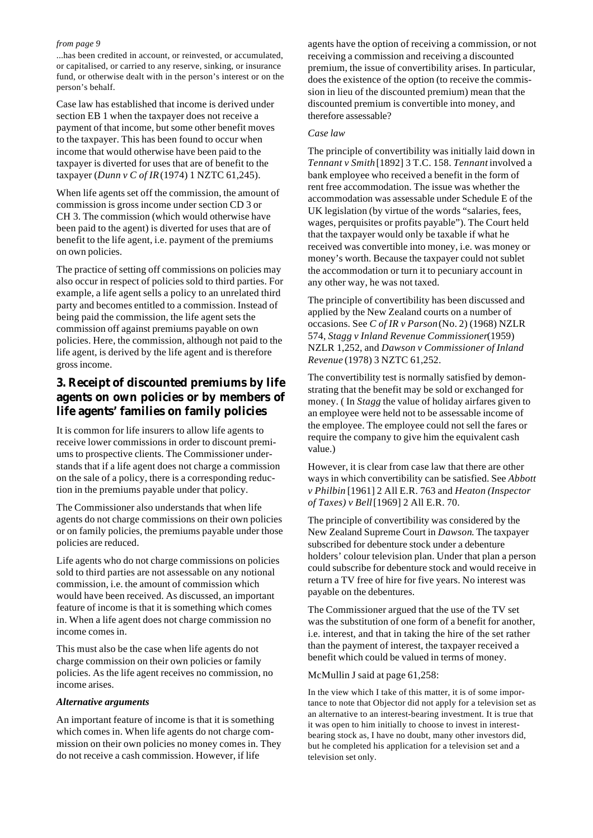...has been credited in account, or reinvested, or accumulated, or capitalised, or carried to any reserve, sinking, or insurance fund, or otherwise dealt with in the person's interest or on the person's behalf.

Case law has established that income is derived under section EB 1 when the taxpayer does not receive a payment of that income, but some other benefit moves to the taxpayer. This has been found to occur when income that would otherwise have been paid to the taxpayer is diverted for uses that are of benefit to the taxpayer (*Dunn v C of IR* (1974) 1 NZTC 61,245).

When life agents set off the commission, the amount of commission is gross income under section CD 3 or CH 3. The commission (which would otherwise have been paid to the agent) is diverted for uses that are of benefit to the life agent, i.e. payment of the premiums on own policies.

The practice of setting off commissions on policies may also occur in respect of policies sold to third parties. For example, a life agent sells a policy to an unrelated third party and becomes entitled to a commission. Instead of being paid the commission, the life agent sets the commission off against premiums payable on own policies. Here, the commission, although not paid to the life agent, is derived by the life agent and is therefore gross income.

# **3. Receipt of discounted premiums by life agents on own policies or by members of life agents' families on family policies**

It is common for life insurers to allow life agents to receive lower commissions in order to discount premiums to prospective clients. The Commissioner understands that if a life agent does not charge a commission on the sale of a policy, there is a corresponding reduction in the premiums payable under that policy.

The Commissioner also understands that when life agents do not charge commissions on their own policies or on family policies, the premiums payable under those policies are reduced.

Life agents who do not charge commissions on policies sold to third parties are not assessable on any notional commission, i.e. the amount of commission which would have been received. As discussed, an important feature of income is that it is something which comes in. When a life agent does not charge commission no income comes in.

This must also be the case when life agents do not charge commission on their own policies or family policies. As the life agent receives no commission, no income arises.

#### *Alternative arguments*

An important feature of income is that it is something which comes in. When life agents do not charge commission on their own policies no money comes in. They do not receive a cash commission. However, if life

agents have the option of receiving a commission, or not receiving a commission and receiving a discounted premium, the issue of convertibility arises. In particular, does the existence of the option (to receive the commission in lieu of the discounted premium) mean that the discounted premium is convertible into money, and therefore assessable?

#### *Case law*

The principle of convertibility was initially laid down in *Tennant v Smith* [1892] 3 T.C. 158. *Tennant* involved a bank employee who received a benefit in the form of rent free accommodation. The issue was whether the accommodation was assessable under Schedule E of the UK legislation (by virtue of the words "salaries, fees, wages, perquisites or profits payable"). The Court held that the taxpayer would only be taxable if what he received was convertible into money, i.e. was money or money's worth. Because the taxpayer could not sublet the accommodation or turn it to pecuniary account in any other way, he was not taxed.

The principle of convertibility has been discussed and applied by the New Zealand courts on a number of occasions. See *C of IR v Parson* (No. 2) (1968) NZLR 574, *Stagg v Inland Revenue Commissioner* (1959) NZLR 1,252, and *Dawson v Commissioner of Inland Revenue* (1978) 3 NZTC 61,252.

The convertibility test is normally satisfied by demonstrating that the benefit may be sold or exchanged for money. ( In *Stagg* the value of holiday airfares given to an employee were held not to be assessable income of the employee. The employee could not sell the fares or require the company to give him the equivalent cash value.)

However, it is clear from case law that there are other ways in which convertibility can be satisfied. See *Abbott v Philbin* [1961] 2 All E.R. 763 and *Heaton (Inspector of Taxes) v Bell* [1969] 2 All E.R. 70.

The principle of convertibility was considered by the New Zealand Supreme Court in *Dawson*. The taxpayer subscribed for debenture stock under a debenture holders' colour television plan. Under that plan a person could subscribe for debenture stock and would receive in return a TV free of hire for five years. No interest was payable on the debentures.

The Commissioner argued that the use of the TV set was the substitution of one form of a benefit for another, i.e. interest, and that in taking the hire of the set rather than the payment of interest, the taxpayer received a benefit which could be valued in terms of money.

#### McMullin J said at page 61,258:

In the view which I take of this matter, it is of some importance to note that Objector did not apply for a television set as an alternative to an interest-bearing investment. It is true that it was open to him initially to choose to invest in interestbearing stock as, I have no doubt, many other investors did, but he completed his application for a television set and a television set only.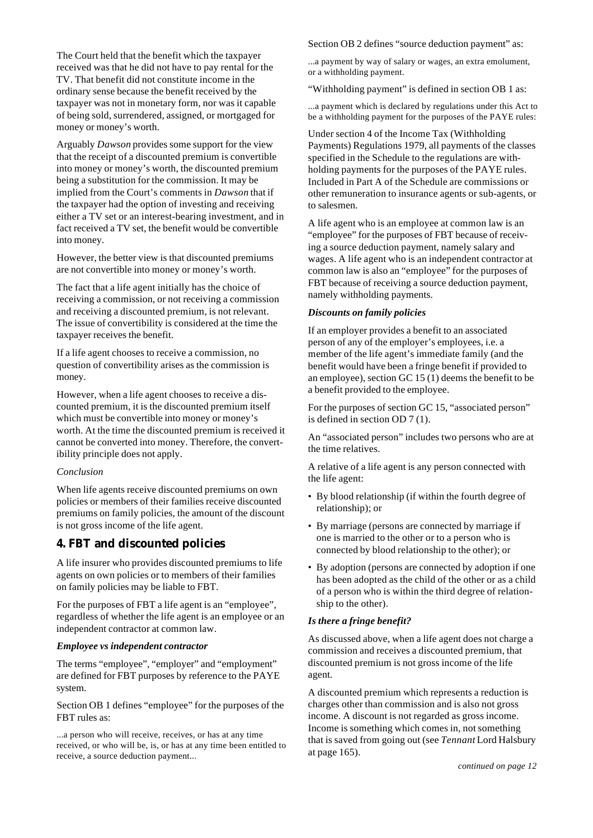The Court held that the benefit which the taxpayer received was that he did not have to pay rental for the TV. That benefit did not constitute income in the ordinary sense because the benefit received by the taxpayer was not in monetary form, nor was it capable of being sold, surrendered, assigned, or mortgaged for money or money's worth.

Arguably *Dawson* provides some support for the view that the receipt of a discounted premium is convertible into money or money's worth, the discounted premium being a substitution for the commission. It may be implied from the Court's comments in *Dawson* that if the taxpayer had the option of investing and receiving either a TV set or an interest-bearing investment, and in fact received a TV set, the benefit would be convertible into money.

However, the better view is that discounted premiums are not convertible into money or money's worth.

The fact that a life agent initially has the choice of receiving a commission, or not receiving a commission and receiving a discounted premium, is not relevant. The issue of convertibility is considered at the time the taxpayer receives the benefit.

If a life agent chooses to receive a commission, no question of convertibility arises as the commission is money.

However, when a life agent chooses to receive a discounted premium, it is the discounted premium itself which must be convertible into money or money's worth. At the time the discounted premium is received it cannot be converted into money. Therefore, the convertibility principle does not apply.

#### *Conclusion*

When life agents receive discounted premiums on own policies or members of their families receive discounted premiums on family policies, the amount of the discount is not gross income of the life agent.

## **4. FBT and discounted policies**

A life insurer who provides discounted premiums to life agents on own policies or to members of their families on family policies may be liable to FBT.

For the purposes of FBT a life agent is an "employee", regardless of whether the life agent is an employee or an independent contractor at common law.

#### *Employee vs independent contractor*

The terms "employee", "employer" and "employment" are defined for FBT purposes by reference to the PAYE system.

Section OB 1 defines "employee" for the purposes of the FBT rules as:

...a person who will receive, receives, or has at any time received, or who will be, is, or has at any time been entitled to receive, a source deduction payment...

Section OB 2 defines "source deduction payment" as:

...a payment by way of salary or wages, an extra emolument, or a withholding payment.

"Withholding payment" is defined in section OB 1 as:

...a payment which is declared by regulations under this Act to be a withholding payment for the purposes of the PAYE rules:

Under section 4 of the Income Tax (Withholding Payments) Regulations 1979, all payments of the classes specified in the Schedule to the regulations are withholding payments for the purposes of the PAYE rules. Included in Part A of the Schedule are commissions or other remuneration to insurance agents or sub-agents, or to salesmen.

A life agent who is an employee at common law is an "employee" for the purposes of FBT because of receiving a source deduction payment, namely salary and wages. A life agent who is an independent contractor at common law is also an "employee" for the purposes of FBT because of receiving a source deduction payment, namely withholding payments.

#### *Discounts on family policies*

If an employer provides a benefit to an associated person of any of the employer's employees, i.e. a member of the life agent's immediate family (and the benefit would have been a fringe benefit if provided to an employee), section GC 15 (1) deems the benefit to be a benefit provided to the employee.

For the purposes of section GC 15, "associated person" is defined in section OD 7 (1).

An "associated person" includes two persons who are at the time relatives.

A relative of a life agent is any person connected with the life agent:

- By blood relationship (if within the fourth degree of relationship); or
- By marriage (persons are connected by marriage if one is married to the other or to a person who is connected by blood relationship to the other); or
- By adoption (persons are connected by adoption if one has been adopted as the child of the other or as a child of a person who is within the third degree of relationship to the other).

#### *Is there a fringe benefit?*

As discussed above, when a life agent does not charge a commission and receives a discounted premium, that discounted premium is not gross income of the life agent.

A discounted premium which represents a reduction is charges other than commission and is also not gross income. A discount is not regarded as gross income. Income is something which comes in, not something that is saved from going out (see *Tennant* Lord Halsbury at page 165).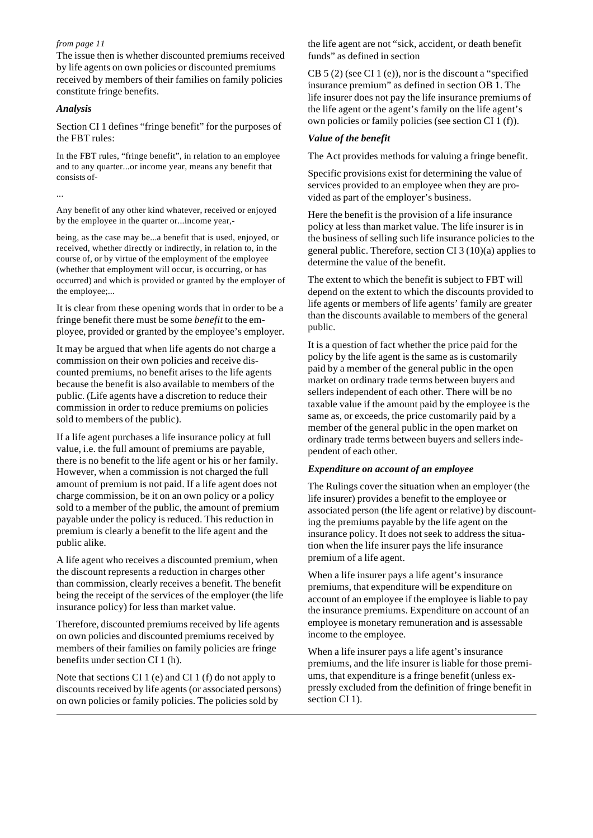The issue then is whether discounted premiums received by life agents on own policies or discounted premiums received by members of their families on family policies constitute fringe benefits.

#### *Analysis*

Section CI 1 defines "fringe benefit" for the purposes of the FBT rules:

In the FBT rules, "fringe benefit", in relation to an employee and to any quarter...or income year, means any benefit that consists of-

...

Any benefit of any other kind whatever, received or enjoyed by the employee in the quarter or...income year,-

being, as the case may be...a benefit that is used, enjoyed, or received, whether directly or indirectly, in relation to, in the course of, or by virtue of the employment of the employee (whether that employment will occur, is occurring, or has occurred) and which is provided or granted by the employer of the employee;...

It is clear from these opening words that in order to be a fringe benefit there must be some *benefit* to the employee, provided or granted by the employee's employer.

It may be argued that when life agents do not charge a commission on their own policies and receive discounted premiums, no benefit arises to the life agents because the benefit is also available to members of the public. (Life agents have a discretion to reduce their commission in order to reduce premiums on policies sold to members of the public).

If a life agent purchases a life insurance policy at full value, i.e. the full amount of premiums are payable, there is no benefit to the life agent or his or her family. However, when a commission is not charged the full amount of premium is not paid. If a life agent does not charge commission, be it on an own policy or a policy sold to a member of the public, the amount of premium payable under the policy is reduced. This reduction in premium is clearly a benefit to the life agent and the public alike.

A life agent who receives a discounted premium, when the discount represents a reduction in charges other than commission, clearly receives a benefit. The benefit being the receipt of the services of the employer (the life insurance policy) for less than market value.

Therefore, discounted premiums received by life agents on own policies and discounted premiums received by members of their families on family policies are fringe benefits under section CI 1 (h).

Note that sections CI 1 (e) and CI 1 (f) do not apply to discounts received by life agents (or associated persons) on own policies or family policies. The policies sold by

the life agent are not "sick, accident, or death benefit funds" as defined in section

CB 5 (2) (see CI 1 (e)), nor is the discount a "specified insurance premium" as defined in section OB 1. The life insurer does not pay the life insurance premiums of the life agent or the agent's family on the life agent's own policies or family policies (see section CI 1 (f)).

#### *Value of the benefit*

The Act provides methods for valuing a fringe benefit.

Specific provisions exist for determining the value of services provided to an employee when they are provided as part of the employer's business.

Here the benefit is the provision of a life insurance policy at less than market value. The life insurer is in the business of selling such life insurance policies to the general public. Therefore, section CI 3 (10)(a) applies to determine the value of the benefit.

The extent to which the benefit is subject to FBT will depend on the extent to which the discounts provided to life agents or members of life agents' family are greater than the discounts available to members of the general public.

It is a question of fact whether the price paid for the policy by the life agent is the same as is customarily paid by a member of the general public in the open market on ordinary trade terms between buyers and sellers independent of each other. There will be no taxable value if the amount paid by the employee is the same as, or exceeds, the price customarily paid by a member of the general public in the open market on ordinary trade terms between buyers and sellers independent of each other.

#### *Expenditure on account of an employee*

The Rulings cover the situation when an employer (the life insurer) provides a benefit to the employee or associated person (the life agent or relative) by discounting the premiums payable by the life agent on the insurance policy. It does not seek to address the situation when the life insurer pays the life insurance premium of a life agent.

When a life insurer pays a life agent's insurance premiums, that expenditure will be expenditure on account of an employee if the employee is liable to pay the insurance premiums. Expenditure on account of an employee is monetary remuneration and is assessable income to the employee.

When a life insurer pays a life agent's insurance premiums, and the life insurer is liable for those premiums, that expenditure is a fringe benefit (unless expressly excluded from the definition of fringe benefit in section CI 1).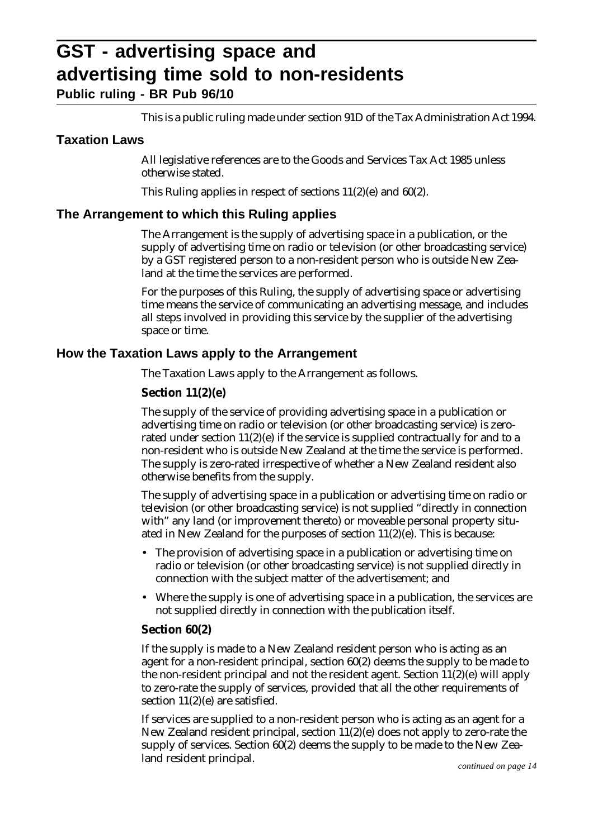# **GST - advertising space and advertising time sold to non-residents**

**Public ruling - BR Pub 96/10**

This is a public ruling made under section 91D of the Tax Administration Act 1994.

# **Taxation Laws**

All legislative references are to the Goods and Services Tax Act 1985 unless otherwise stated.

This Ruling applies in respect of sections 11(2)(e) and 60(2).

# **The Arrangement to which this Ruling applies**

The Arrangement is the supply of advertising space in a publication, or the supply of advertising time on radio or television (or other broadcasting service) by a GST registered person to a non-resident person who is outside New Zealand at the time the services are performed.

For the purposes of this Ruling, the supply of advertising space or advertising time means the service of communicating an advertising message, and includes all steps involved in providing this service by the supplier of the advertising space or time.

# **How the Taxation Laws apply to the Arrangement**

The Taxation Laws apply to the Arrangement as follows.

# **Section 11(2)(e)**

The supply of the service of providing advertising space in a publication or advertising time on radio or television (or other broadcasting service) is zerorated under section  $11(2)(e)$  if the service is supplied contractually for and to a non-resident who is outside New Zealand at the time the service is performed. The supply is zero-rated irrespective of whether a New Zealand resident also otherwise benefits from the supply.

The supply of advertising space in a publication or advertising time on radio or television (or other broadcasting service) is not supplied "directly in connection with" any land (or improvement thereto) or moveable personal property situated in New Zealand for the purposes of section 11(2)(e). This is because:

- The provision of advertising space in a publication or advertising time on radio or television (or other broadcasting service) is not supplied directly in connection with the subject matter of the advertisement; and
- Where the supply is one of advertising space in a publication, the services are not supplied directly in connection with the publication itself.

# **Section 60(2)**

If the supply is made to a New Zealand resident person who is acting as an agent for a non-resident principal, section 60(2) deems the supply to be made to the non-resident principal and not the resident agent. Section  $11(2)(e)$  will apply to zero-rate the supply of services, provided that all the other requirements of section 11(2)(e) are satisfied.

If services are supplied to a non-resident person who is acting as an agent for a New Zealand resident principal, section  $11(2)(e)$  does not apply to zero-rate the supply of services. Section 60(2) deems the supply to be made to the New Zealand resident principal.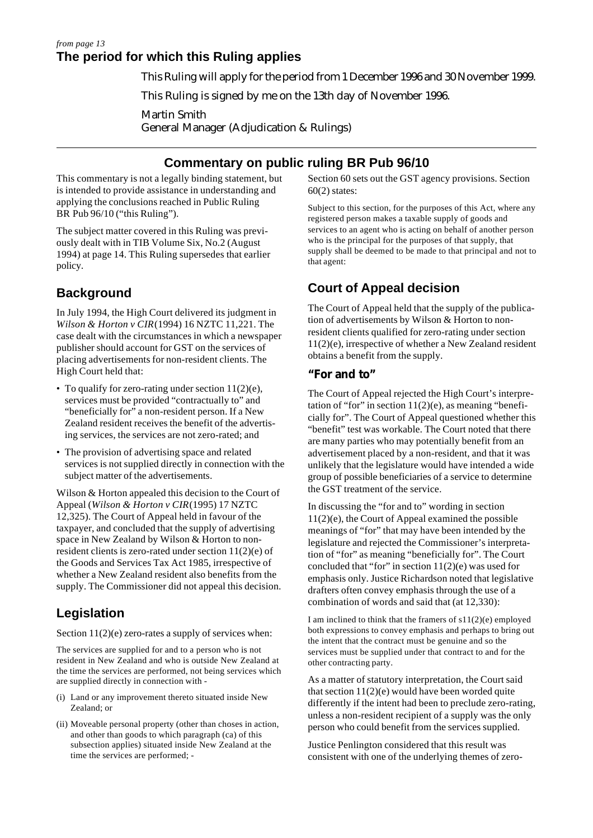#### **The period for which this Ruling applies** *from page 13*

This Ruling will apply for the period from 1 December 1996 and 30 November 1999.

This Ruling is signed by me on the 13th day of November 1996.

Martin Smith General Manager (Adjudication & Rulings)

# **Commentary on public ruling BR Pub 96/10**

This commentary is not a legally binding statement, but is intended to provide assistance in understanding and applying the conclusions reached in Public Ruling BR Pub 96/10 ("this Ruling").

The subject matter covered in this Ruling was previously dealt with in TIB Volume Six, No.2 (August 1994) at page 14. This Ruling supersedes that earlier policy.

# **Background**

In July 1994, the High Court delivered its judgment in *Wilson & Horton v CIR* (1994) 16 NZTC 11,221. The case dealt with the circumstances in which a newspaper publisher should account for GST on the services of placing advertisements for non-resident clients. The High Court held that:

- To qualify for zero-rating under section 11(2)(e), services must be provided "contractually to" and "beneficially for" a non-resident person. If a New Zealand resident receives the benefit of the advertising services, the services are not zero-rated; and
- The provision of advertising space and related services is not supplied directly in connection with the subject matter of the advertisements.

Wilson & Horton appealed this decision to the Court of Appeal (*Wilson & Horton v CIR* (1995) 17 NZTC 12,325). The Court of Appeal held in favour of the taxpayer, and concluded that the supply of advertising space in New Zealand by Wilson & Horton to nonresident clients is zero-rated under section 11(2)(e) of the Goods and Services Tax Act 1985, irrespective of whether a New Zealand resident also benefits from the supply. The Commissioner did not appeal this decision.

# **Legislation**

Section  $11(2)(e)$  zero-rates a supply of services when:

The services are supplied for and to a person who is not resident in New Zealand and who is outside New Zealand at the time the services are performed, not being services which are supplied directly in connection with -

- (i) Land or any improvement thereto situated inside New Zealand; or
- (ii) Moveable personal property (other than choses in action, and other than goods to which paragraph (ca) of this subsection applies) situated inside New Zealand at the time the services are performed; -

Section 60 sets out the GST agency provisions. Section 60(2) states:

Subject to this section, for the purposes of this Act, where any registered person makes a taxable supply of goods and services to an agent who is acting on behalf of another person who is the principal for the purposes of that supply, that supply shall be deemed to be made to that principal and not to that agent:

# **Court of Appeal decision**

The Court of Appeal held that the supply of the publication of advertisements by Wilson & Horton to nonresident clients qualified for zero-rating under section 11(2)(e), irrespective of whether a New Zealand resident obtains a benefit from the supply.

# **"For and to"**

The Court of Appeal rejected the High Court's interpretation of "for" in section  $11(2)(e)$ , as meaning "beneficially for". The Court of Appeal questioned whether this "benefit" test was workable. The Court noted that there are many parties who may potentially benefit from an advertisement placed by a non-resident, and that it was unlikely that the legislature would have intended a wide group of possible beneficiaries of a service to determine the GST treatment of the service.

In discussing the "for and to" wording in section 11(2)(e), the Court of Appeal examined the possible meanings of "for" that may have been intended by the legislature and rejected the Commissioner's interpretation of "for" as meaning "beneficially for". The Court concluded that "for" in section  $11(2)(e)$  was used for emphasis only. Justice Richardson noted that legislative drafters often convey emphasis through the use of a combination of words and said that (at 12,330):

I am inclined to think that the framers of s11(2)(e) employed both expressions to convey emphasis and perhaps to bring out the intent that the contract must be genuine and so the services must be supplied under that contract to and for the other contracting party.

As a matter of statutory interpretation, the Court said that section  $11(2)(e)$  would have been worded quite differently if the intent had been to preclude zero-rating, unless a non-resident recipient of a supply was the only person who could benefit from the services supplied.

Justice Penlington considered that this result was consistent with one of the underlying themes of zero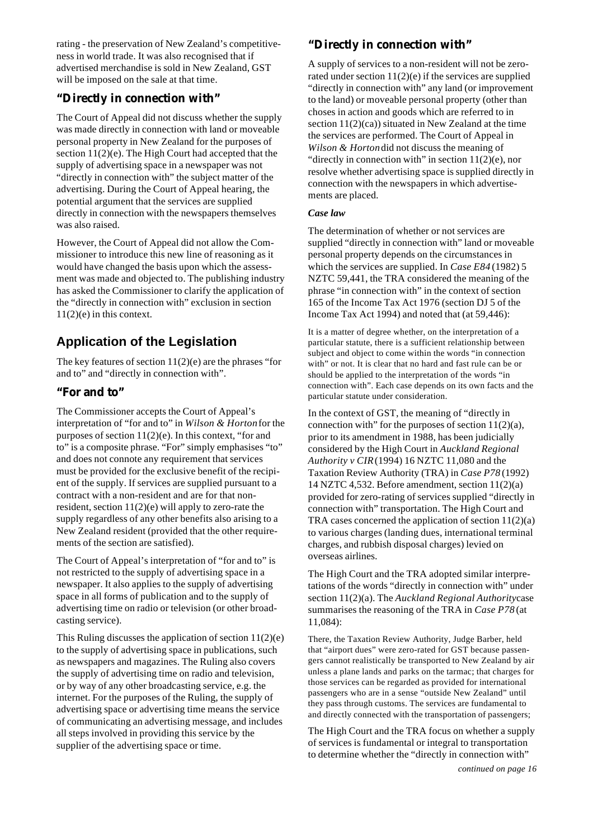rating - the preservation of New Zealand's competitiveness in world trade. It was also recognised that if advertised merchandise is sold in New Zealand, GST will be imposed on the sale at that time.

# **"Directly in connection with"**

The Court of Appeal did not discuss whether the supply was made directly in connection with land or moveable personal property in New Zealand for the purposes of section 11(2)(e). The High Court had accepted that the supply of advertising space in a newspaper was not "directly in connection with" the subject matter of the advertising. During the Court of Appeal hearing, the potential argument that the services are supplied directly in connection with the newspapers themselves was also raised.

However, the Court of Appeal did not allow the Commissioner to introduce this new line of reasoning as it would have changed the basis upon which the assessment was made and objected to. The publishing industry has asked the Commissioner to clarify the application of the "directly in connection with" exclusion in section 11(2)(e) in this context.

# **Application of the Legislation**

The key features of section  $11(2)(e)$  are the phrases "for and to" and "directly in connection with".

# **"For and to"**

The Commissioner accepts the Court of Appeal's interpretation of "for and to" in *Wilson & Horton* for the purposes of section  $11(2)(e)$ . In this context, "for and to" is a composite phrase. "For" simply emphasises "to" and does not connote any requirement that services must be provided for the exclusive benefit of the recipient of the supply. If services are supplied pursuant to a contract with a non-resident and are for that nonresident, section 11(2)(e) will apply to zero-rate the supply regardless of any other benefits also arising to a New Zealand resident (provided that the other requirements of the section are satisfied).

The Court of Appeal's interpretation of "for and to" is not restricted to the supply of advertising space in a newspaper. It also applies to the supply of advertising space in all forms of publication and to the supply of advertising time on radio or television (or other broadcasting service).

This Ruling discusses the application of section 11(2)(e) to the supply of advertising space in publications, such as newspapers and magazines. The Ruling also covers the supply of advertising time on radio and television, or by way of any other broadcasting service, e.g. the internet. For the purposes of the Ruling, the supply of advertising space or advertising time means the service of communicating an advertising message, and includes all steps involved in providing this service by the supplier of the advertising space or time.

# **"Directly in connection with"**

A supply of services to a non-resident will not be zerorated under section  $11(2)(e)$  if the services are supplied "directly in connection with" any land (or improvement to the land) or moveable personal property (other than choses in action and goods which are referred to in section  $11(2)(ca)$ ) situated in New Zealand at the time the services are performed. The Court of Appeal in *Wilson & Horton* did not discuss the meaning of "directly in connection with" in section  $11(2)(e)$ , nor resolve whether advertising space is supplied directly in connection with the newspapers in which advertisements are placed.

#### *Case law*

The determination of whether or not services are supplied "directly in connection with" land or moveable personal property depends on the circumstances in which the services are supplied. In *Case E84* (1982) 5 NZTC 59,441, the TRA considered the meaning of the phrase "in connection with" in the context of section 165 of the Income Tax Act 1976 (section DJ 5 of the Income Tax Act 1994) and noted that (at 59,446):

It is a matter of degree whether, on the interpretation of a particular statute, there is a sufficient relationship between subject and object to come within the words "in connection with" or not. It is clear that no hard and fast rule can be or should be applied to the interpretation of the words "in connection with". Each case depends on its own facts and the particular statute under consideration.

In the context of GST, the meaning of "directly in connection with" for the purposes of section  $11(2)(a)$ , prior to its amendment in 1988, has been judicially considered by the High Court in *Auckland Regional Authority v CIR* (1994) 16 NZTC 11,080 and the Taxation Review Authority (TRA) in *Case P78* (1992) 14 NZTC 4,532. Before amendment, section 11(2)(a) provided for zero-rating of services supplied "directly in connection with" transportation. The High Court and TRA cases concerned the application of section  $11(2)(a)$ to various charges (landing dues, international terminal charges, and rubbish disposal charges) levied on overseas airlines.

The High Court and the TRA adopted similar interpretations of the words "directly in connection with" under section 11(2)(a). The *Auckland Regional Authority* case summarises the reasoning of the TRA in *Case P78* (at 11,084):

There, the Taxation Review Authority, Judge Barber, held that "airport dues" were zero-rated for GST because passengers cannot realistically be transported to New Zealand by air unless a plane lands and parks on the tarmac; that charges for those services can be regarded as provided for international passengers who are in a sense "outside New Zealand" until they pass through customs. The services are fundamental to and directly connected with the transportation of passengers;

The High Court and the TRA focus on whether a supply of services is fundamental or integral to transportation to determine whether the "directly in connection with"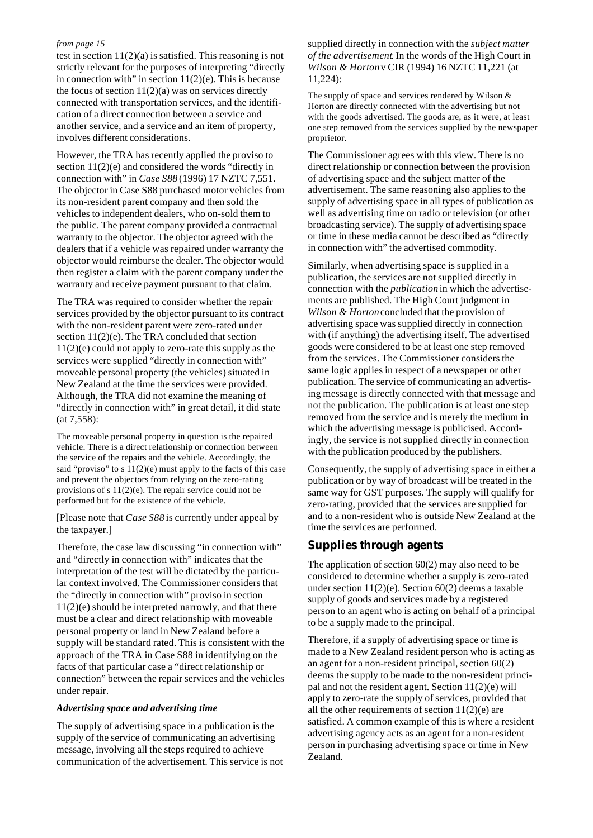test in section 11(2)(a) is satisfied. This reasoning is not strictly relevant for the purposes of interpreting "directly in connection with" in section  $11(2)(e)$ . This is because the focus of section  $11(2)(a)$  was on services directly connected with transportation services, and the identification of a direct connection between a service and another service, and a service and an item of property, involves different considerations.

However, the TRA has recently applied the proviso to section 11(2)(e) and considered the words "directly in connection with" in *Case S88* (1996) 17 NZTC 7,551. The objector in Case S88 purchased motor vehicles from its non-resident parent company and then sold the vehicles to independent dealers, who on-sold them to the public. The parent company provided a contractual warranty to the objector. The objector agreed with the dealers that if a vehicle was repaired under warranty the objector would reimburse the dealer. The objector would then register a claim with the parent company under the warranty and receive payment pursuant to that claim.

The TRA was required to consider whether the repair services provided by the objector pursuant to its contract with the non-resident parent were zero-rated under section 11(2)(e). The TRA concluded that section 11(2)(e) could not apply to zero-rate this supply as the services were supplied "directly in connection with" moveable personal property (the vehicles) situated in New Zealand at the time the services were provided. Although, the TRA did not examine the meaning of "directly in connection with" in great detail, it did state (at 7,558):

The moveable personal property in question is the repaired vehicle. There is a direct relationship or connection between the service of the repairs and the vehicle. Accordingly, the said "proviso" to s  $11(2)(e)$  must apply to the facts of this case and prevent the objectors from relying on the zero-rating provisions of s 11(2)(e). The repair service could not be performed but for the existence of the vehicle.

[Please note that *Case S88* is currently under appeal by the taxpayer.]

Therefore, the case law discussing "in connection with" and "directly in connection with" indicates that the interpretation of the test will be dictated by the particular context involved. The Commissioner considers that the "directly in connection with" proviso in section 11(2)(e) should be interpreted narrowly, and that there must be a clear and direct relationship with moveable personal property or land in New Zealand before a supply will be standard rated. This is consistent with the approach of the TRA in Case S88 in identifying on the facts of that particular case a "direct relationship or connection" between the repair services and the vehicles under repair.

#### *Advertising space and advertising time*

The supply of advertising space in a publication is the supply of the service of communicating an advertising message, involving all the steps required to achieve communication of the advertisement. This service is not

#### supplied directly in connection with the *subject matter of the advertisement*. In the words of the High Court in *Wilson & Horton* v CIR (1994) 16 NZTC 11,221 (at 11,224):

The supply of space and services rendered by Wilson & Horton are directly connected with the advertising but not with the goods advertised. The goods are, as it were, at least one step removed from the services supplied by the newspaper proprietor.

The Commissioner agrees with this view. There is no direct relationship or connection between the provision of advertising space and the subject matter of the advertisement. The same reasoning also applies to the supply of advertising space in all types of publication as well as advertising time on radio or television (or other broadcasting service). The supply of advertising space or time in these media cannot be described as "directly in connection with" the advertised commodity.

Similarly, when advertising space is supplied in a publication, the services are not supplied directly in connection with the *publication* in which the advertisements are published. The High Court judgment in *Wilson & Horton* concluded that the provision of advertising space was supplied directly in connection with (if anything) the advertising itself. The advertised goods were considered to be at least one step removed from the services. The Commissioner considers the same logic applies in respect of a newspaper or other publication. The service of communicating an advertising message is directly connected with that message and not the publication. The publication is at least one step removed from the service and is merely the medium in which the advertising message is publicised. Accordingly, the service is not supplied directly in connection with the publication produced by the publishers.

Consequently, the supply of advertising space in either a publication or by way of broadcast will be treated in the same way for GST purposes. The supply will qualify for zero-rating, provided that the services are supplied for and to a non-resident who is outside New Zealand at the time the services are performed.

#### **Supplies through agents**

The application of section 60(2) may also need to be considered to determine whether a supply is zero-rated under section  $11(2)(e)$ . Section  $60(2)$  deems a taxable supply of goods and services made by a registered person to an agent who is acting on behalf of a principal to be a supply made to the principal.

Therefore, if a supply of advertising space or time is made to a New Zealand resident person who is acting as an agent for a non-resident principal, section 60(2) deems the supply to be made to the non-resident principal and not the resident agent. Section 11(2)(e) will apply to zero-rate the supply of services, provided that all the other requirements of section  $11(2)(e)$  are satisfied. A common example of this is where a resident advertising agency acts as an agent for a non-resident person in purchasing advertising space or time in New Zealand.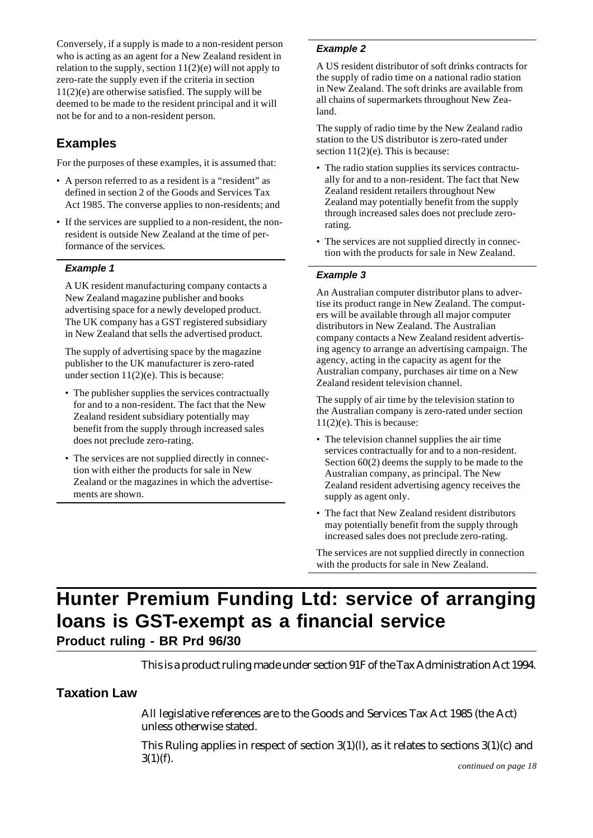Conversely, if a supply is made to a non-resident person who is acting as an agent for a New Zealand resident in relation to the supply, section  $11(2)(e)$  will not apply to zero-rate the supply even if the criteria in section 11(2)(e) are otherwise satisfied. The supply will be deemed to be made to the resident principal and it will not be for and to a non-resident person.

# **Examples**

For the purposes of these examples, it is assumed that:

- A person referred to as a resident is a "resident" as defined in section 2 of the Goods and Services Tax Act 1985. The converse applies to non-residents; and
- If the services are supplied to a non-resident, the nonresident is outside New Zealand at the time of performance of the services.

## **Example 1**

A UK resident manufacturing company contacts a New Zealand magazine publisher and books advertising space for a newly developed product. The UK company has a GST registered subsidiary in New Zealand that sells the advertised product.

The supply of advertising space by the magazine publisher to the UK manufacturer is zero-rated under section  $11(2)(e)$ . This is because:

- The publisher supplies the services contractually for and to a non-resident. The fact that the New Zealand resident subsidiary potentially may benefit from the supply through increased sales does not preclude zero-rating.
- The services are not supplied directly in connection with either the products for sale in New Zealand or the magazines in which the advertisements are shown.

## **Example 2**

A US resident distributor of soft drinks contracts for the supply of radio time on a national radio station in New Zealand. The soft drinks are available from all chains of supermarkets throughout New Zealand.

The supply of radio time by the New Zealand radio station to the US distributor is zero-rated under section  $11(2)(e)$ . This is because:

- The radio station supplies its services contractually for and to a non-resident. The fact that New Zealand resident retailers throughout New Zealand may potentially benefit from the supply through increased sales does not preclude zerorating.
- The services are not supplied directly in connection with the products for sale in New Zealand.

#### **Example 3**

An Australian computer distributor plans to advertise its product range in New Zealand. The computers will be available through all major computer distributors in New Zealand. The Australian company contacts a New Zealand resident advertising agency to arrange an advertising campaign. The agency, acting in the capacity as agent for the Australian company, purchases air time on a New Zealand resident television channel.

The supply of air time by the television station to the Australian company is zero-rated under section 11(2)(e). This is because:

- The television channel supplies the air time services contractually for and to a non-resident. Section 60(2) deems the supply to be made to the Australian company, as principal. The New Zealand resident advertising agency receives the supply as agent only.
- The fact that New Zealand resident distributors may potentially benefit from the supply through increased sales does not preclude zero-rating.

The services are not supplied directly in connection with the products for sale in New Zealand.

# **Hunter Premium Funding Ltd: service of arranging loans is GST-exempt as a financial service Product ruling - BR Prd 96/30**

This is a product ruling made under section 91F of the Tax Administration Act 1994.

# **Taxation Law**

All legislative references are to the Goods and Services Tax Act 1985 (the Act) unless otherwise stated.

This Ruling applies in respect of section  $3(1)(l)$ , as it relates to sections  $3(1)(c)$  and  $3(1)(f)$ . *continued on page 18*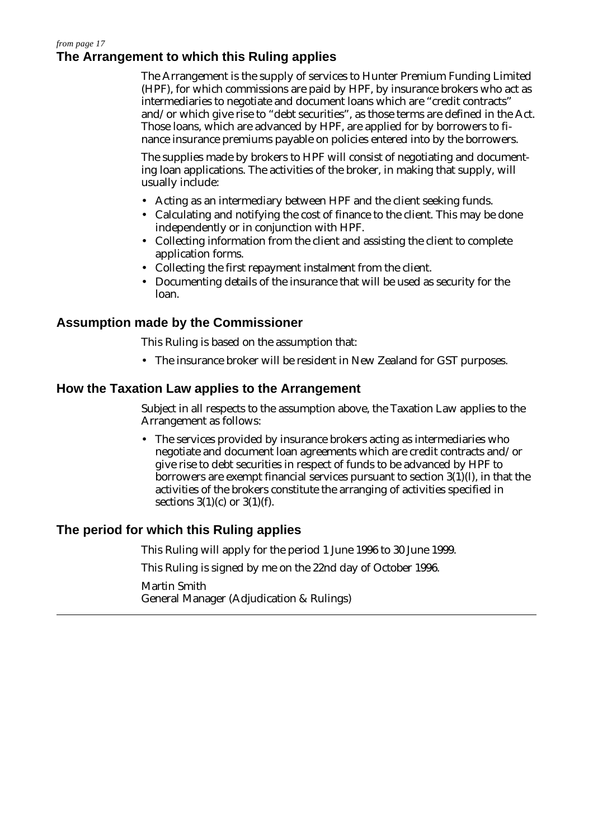## **The Arrangement to which this Ruling applies** *from page 17*

The Arrangement is the supply of services to Hunter Premium Funding Limited (HPF), for which commissions are paid by HPF, by insurance brokers who act as intermediaries to negotiate and document loans which are "credit contracts" and/or which give rise to "debt securities", as those terms are defined in the Act. Those loans, which are advanced by HPF, are applied for by borrowers to finance insurance premiums payable on policies entered into by the borrowers.

The supplies made by brokers to HPF will consist of negotiating and documenting loan applications. The activities of the broker, in making that supply, will usually include:

- Acting as an intermediary between HPF and the client seeking funds.
- Calculating and notifying the cost of finance to the client. This may be done independently or in conjunction with HPF.
- Collecting information from the client and assisting the client to complete application forms.
- Collecting the first repayment instalment from the client.
- Documenting details of the insurance that will be used as security for the loan.

# **Assumption made by the Commissioner**

This Ruling is based on the assumption that:

• The insurance broker will be resident in New Zealand for GST purposes.

# **How the Taxation Law applies to the Arrangement**

Subject in all respects to the assumption above, the Taxation Law applies to the Arrangement as follows:

• The services provided by insurance brokers acting as intermediaries who negotiate and document loan agreements which are credit contracts and/or give rise to debt securities in respect of funds to be advanced by HPF to borrowers are exempt financial services pursuant to section  $3(1)(l)$ , in that the activities of the brokers constitute the arranging of activities specified in sections  $3(1)(c)$  or  $3(1)(f)$ .

# **The period for which this Ruling applies**

This Ruling will apply for the period 1 June 1996 to 30 June 1999.

This Ruling is signed by me on the 22nd day of October 1996.

Martin Smith General Manager (Adjudication & Rulings)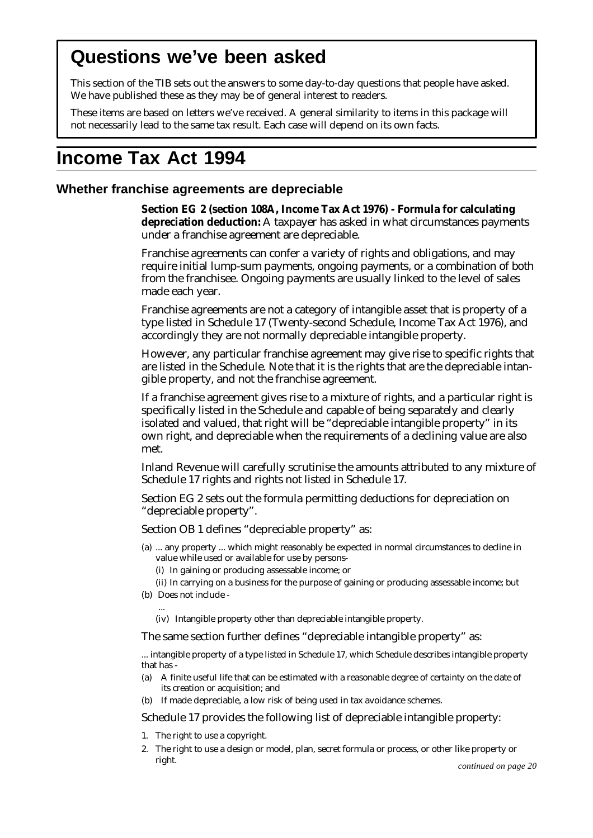# **Questions we've been asked**

This section of the TIB sets out the answers to some day-to-day questions that people have asked. We have published these as they may be of general interest to readers.

These items are based on letters we've received. A general similarity to items in this package will not necessarily lead to the same tax result. Each case will depend on its own facts.

# **Income Tax Act 1994**

## **Whether franchise agreements are depreciable**

**Section EG 2 (section 108A, Income Tax Act 1976) - Formula for calculating depreciation deduction:** A taxpayer has asked in what circumstances payments under a franchise agreement are depreciable.

Franchise agreements can confer a variety of rights and obligations, and may require initial lump-sum payments, ongoing payments, or a combination of both from the franchisee. Ongoing payments are usually linked to the level of sales made each year.

Franchise agreements are not a category of intangible asset that is property of a type listed in Schedule 17 (Twenty-second Schedule, Income Tax Act 1976), and accordingly they are not normally depreciable intangible property.

However, any particular franchise agreement may give rise to specific rights that are listed in the Schedule. Note that it is the rights that are the depreciable intangible property, and not the franchise agreement.

If a franchise agreement gives rise to a mixture of rights, and a particular right is specifically listed in the Schedule and capable of being separately and clearly isolated and valued, that right will be "depreciable intangible property" in its own right, and depreciable when the requirements of a declining value are also met.

Inland Revenue will carefully scrutinise the amounts attributed to any mixture of Schedule 17 rights and rights not listed in Schedule 17.

Section EG 2 sets out the formula permitting deductions for depreciation on "depreciable property".

Section OB 1 defines "depreciable property" as:

- (a) ... any property ... which might reasonably be expected in normal circumstances to decline in value while used or available for use by persons-
	- (i) In gaining or producing assessable income; or
- (ii) In carrying on a business for the purpose of gaining or producing assessable income; but (b) Does not include -
	- (iv) Intangible property other than depreciable intangible property.

#### The same section further defines "depreciable intangible property" as:

... intangible property of a type listed in Schedule 17, which Schedule describes intangible property that has -

- (a) A finite useful life that can be estimated with a reasonable degree of certainty on the date of its creation or acquisition; and
- (b) If made depreciable, a low risk of being used in tax avoidance schemes.

Schedule 17 provides the following list of depreciable intangible property:

1. The right to use a copyright.

...

2. The right to use a design or model, plan, secret formula or process, or other like property or right. *continued on page 20*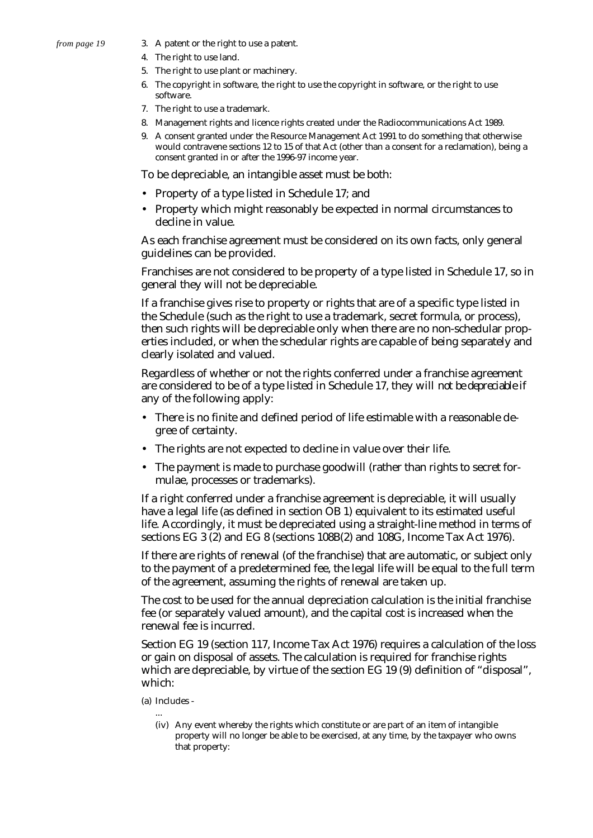- 3. A patent or the right to use a patent.
- 4. The right to use land.
- 5. The right to use plant or machinery.
- 6. The copyright in software, the right to use the copyright in software, or the right to use software.
- 7. The right to use a trademark.
- 8. Management rights and licence rights created under the Radiocommunications Act 1989.
- 9. A consent granted under the Resource Management Act 1991 to do something that otherwise would contravene sections 12 to 15 of that Act (other than a consent for a reclamation), being a consent granted in or after the 1996-97 income year.

To be depreciable, an intangible asset must be both:

- Property of a type listed in Schedule 17; and
- Property which might reasonably be expected in normal circumstances to decline in value.

As each franchise agreement must be considered on its own facts, only general guidelines can be provided.

Franchises are not considered to be property of a type listed in Schedule 17, so in general they will not be depreciable.

If a franchise gives rise to property or rights that are of a specific type listed in the Schedule (such as the right to use a trademark, secret formula, or process), then such rights will be depreciable only when there are no non-schedular properties included, or when the schedular rights are capable of being separately and clearly isolated and valued.

Regardless of whether or not the rights conferred under a franchise agreement are considered to be of a type listed in Schedule 17, they will *not be depreciable* if any of the following apply:

- There is no finite and defined period of life estimable with a reasonable degree of certainty.
- The rights are not expected to decline in value over their life.
- The payment is made to purchase goodwill (rather than rights to secret formulae, processes or trademarks).

If a right conferred under a franchise agreement is depreciable, it will usually have a legal life (as defined in section OB 1) equivalent to its estimated useful life. Accordingly, it must be depreciated using a straight-line method in terms of sections EG 3 (2) and EG 8 (sections 108B(2) and 108G, Income Tax Act 1976).

If there are rights of renewal (of the franchise) that are automatic, or subject only to the payment of a predetermined fee, the legal life will be equal to the full term of the agreement, assuming the rights of renewal are taken up.

The cost to be used for the annual depreciation calculation is the initial franchise fee (or separately valued amount), and the capital cost is increased when the renewal fee is incurred.

Section EG 19 (section 117, Income Tax Act 1976) requires a calculation of the loss or gain on disposal of assets. The calculation is required for franchise rights which are depreciable, by virtue of the section EG 19 (9) definition of "disposal", which:

(a) Includes -

...

(iv) Any event whereby the rights which constitute or are part of an item of intangible property will no longer be able to be exercised, at any time, by the taxpayer who owns that property: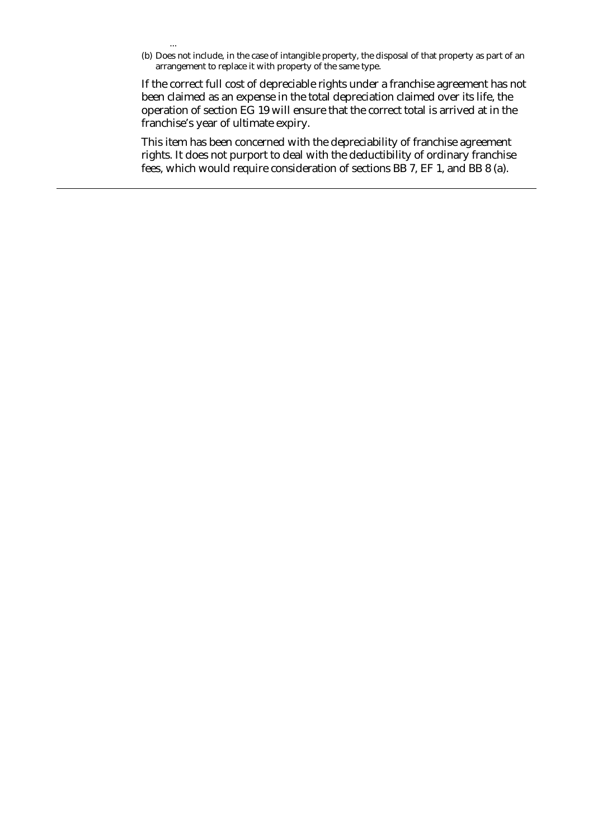(b) Does not include, in the case of intangible property, the disposal of that property as part of an arrangement to replace it with property of the same type.

...

If the correct full cost of depreciable rights under a franchise agreement has not been claimed as an expense in the total depreciation claimed over its life, the operation of section EG 19 will ensure that the correct total is arrived at in the franchise's year of ultimate expiry.

This item has been concerned with the depreciability of franchise agreement rights. It does not purport to deal with the deductibility of ordinary franchise fees, which would require consideration of sections BB 7, EF 1, and BB 8 (a).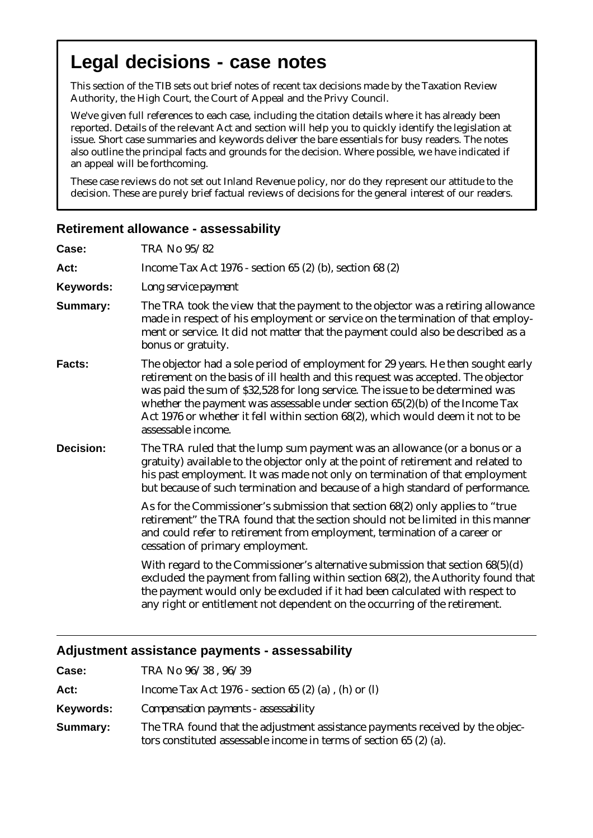# **Legal decisions - case notes**

This section of the TIB sets out brief notes of recent tax decisions made by the Taxation Review Authority, the High Court, the Court of Appeal and the Privy Council.

We've given full references to each case, including the citation details where it has already been reported. Details of the relevant Act and section will help you to quickly identify the legislation at issue. Short case summaries and keywords deliver the bare essentials for busy readers. The notes also outline the principal facts and grounds for the decision. Where possible, we have indicated if an appeal will be forthcoming.

These case reviews do not set out Inland Revenue policy, nor do they represent our attitude to the decision. These are purely brief factual reviews of decisions for the general interest of our readers.

## **Retirement allowance - assessability**

| Case:            | TRA No 95/82                                                                                                                                                                                                                                                                                                                                                                                                                                    |
|------------------|-------------------------------------------------------------------------------------------------------------------------------------------------------------------------------------------------------------------------------------------------------------------------------------------------------------------------------------------------------------------------------------------------------------------------------------------------|
| Act:             | Income Tax Act 1976 - section 65 $(2)$ (b), section 68 $(2)$                                                                                                                                                                                                                                                                                                                                                                                    |
| Keywords:        | Long service payment                                                                                                                                                                                                                                                                                                                                                                                                                            |
| Summary:         | The TRA took the view that the payment to the objector was a retiring allowance<br>made in respect of his employment or service on the termination of that employ-<br>ment or service. It did not matter that the payment could also be described as a<br>bonus or gratuity.                                                                                                                                                                    |
| Facts:           | The objector had a sole period of employment for 29 years. He then sought early<br>retirement on the basis of ill health and this request was accepted. The objector<br>was paid the sum of \$32,528 for long service. The issue to be determined was<br>whether the payment was assessable under section $65(2)(b)$ of the Income Tax<br>Act 1976 or whether it fell within section 68(2), which would deem it not to be<br>assessable income. |
| <b>Decision:</b> | The TRA ruled that the lump sum payment was an allowance (or a bonus or a<br>gratuity) available to the objector only at the point of retirement and related to<br>his past employment. It was made not only on termination of that employment<br>but because of such termination and because of a high standard of performance.                                                                                                                |
|                  | As for the Commissioner's submission that section 68(2) only applies to "true<br>retirement" the TRA found that the section should not be limited in this manner<br>and could refer to retirement from employment, termination of a career or<br>cessation of primary employment.                                                                                                                                                               |
|                  | With regard to the Commissioner's alternative submission that section $68(5)(d)$<br>excluded the payment from falling within section 68(2), the Authority found that<br>the payment would only be excluded if it had been calculated with respect to<br>any right or entitlement not dependent on the occurring of the retirement.                                                                                                              |

## **Adjustment assistance payments - assessability**

| Case:     | TRA No 96/38, 96/39                                                                                                                                |
|-----------|----------------------------------------------------------------------------------------------------------------------------------------------------|
| Act:      | Income Tax Act 1976 - section 65 $(2)$ $(a)$ , $(h)$ or $(l)$                                                                                      |
| Keywords: | Compensation payments - assessability                                                                                                              |
| Summary:  | The TRA found that the adjustment assistance payments received by the objec-<br>tors constituted assessable income in terms of section 65 (2) (a). |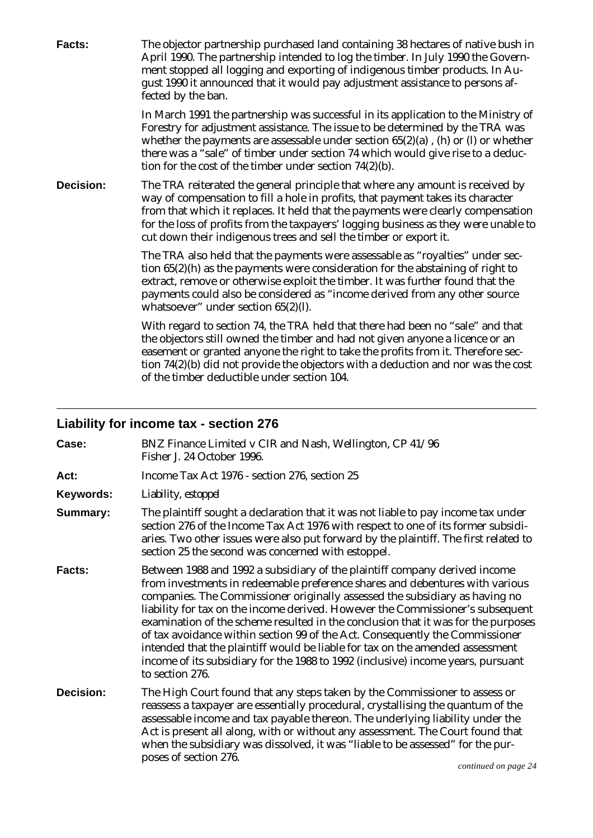| Facts:           | The objector partnership purchased land containing 38 hectares of native bush in<br>April 1990. The partnership intended to log the timber. In July 1990 the Govern-<br>ment stopped all logging and exporting of indigenous timber products. In Au-<br>gust 1990 it announced that it would pay adjustment assistance to persons af-<br>fected by the ban.                                                      |
|------------------|------------------------------------------------------------------------------------------------------------------------------------------------------------------------------------------------------------------------------------------------------------------------------------------------------------------------------------------------------------------------------------------------------------------|
|                  | In March 1991 the partnership was successful in its application to the Ministry of<br>Forestry for adjustment assistance. The issue to be determined by the TRA was<br>whether the payments are assessable under section $65(2)(a)$ , (h) or (l) or whether<br>there was a "sale" of timber under section 74 which would give rise to a deduc-<br>tion for the cost of the timber under section $74(2)(b)$ .     |
| <b>Decision:</b> | The TRA reiterated the general principle that where any amount is received by<br>way of compensation to fill a hole in profits, that payment takes its character<br>from that which it replaces. It held that the payments were clearly compensation<br>for the loss of profits from the taxpayers' logging business as they were unable to<br>cut down their indigenous trees and sell the timber or export it. |
|                  | The TRA also held that the payments were assessable as "royalties" under sec-<br>tion $65(2)(h)$ as the payments were consideration for the abstaining of right to<br>extract, remove or otherwise exploit the timber. It was further found that the<br>payments could also be considered as "income derived from any other source<br>whatsoever" under section $65(2)(l)$ .                                     |
|                  | With regard to section 74, the TRA held that there had been no "sale" and that<br>the objectors still owned the timber and had not given anyone a licence or an<br>easement or granted anyone the right to take the profits from it. Therefore sec-<br>tion 74(2)(b) did not provide the objectors with a deduction and nor was the cost<br>of the timber deductible under section 104.                          |

# **Liability for income tax - section 276**

| Case:     | BNZ Finance Limited v CIR and Nash, Wellington, CP 41/96<br>Fisher J. 24 October 1996.                                                                                                                                                                                                                                                                                                                                                                                                                                                                                                                                                                                                   |                      |
|-----------|------------------------------------------------------------------------------------------------------------------------------------------------------------------------------------------------------------------------------------------------------------------------------------------------------------------------------------------------------------------------------------------------------------------------------------------------------------------------------------------------------------------------------------------------------------------------------------------------------------------------------------------------------------------------------------------|----------------------|
| Act:      | Income Tax Act 1976 - section 276, section 25                                                                                                                                                                                                                                                                                                                                                                                                                                                                                                                                                                                                                                            |                      |
| Keywords: | Liability, estoppel                                                                                                                                                                                                                                                                                                                                                                                                                                                                                                                                                                                                                                                                      |                      |
| Summary:  | The plaintiff sought a declaration that it was not liable to pay income tax under<br>section 276 of the Income Tax Act 1976 with respect to one of its former subsidi-<br>aries. Two other issues were also put forward by the plaintiff. The first related to<br>section 25 the second was concerned with estoppel.                                                                                                                                                                                                                                                                                                                                                                     |                      |
| Facts:    | Between 1988 and 1992 a subsidiary of the plaintiff company derived income<br>from investments in redeemable preference shares and debentures with various<br>companies. The Commissioner originally assessed the subsidiary as having no<br>liability for tax on the income derived. However the Commissioner's subsequent<br>examination of the scheme resulted in the conclusion that it was for the purposes<br>of tax avoidance within section 99 of the Act. Consequently the Commissioner<br>intended that the plaintiff would be liable for tax on the amended assessment<br>income of its subsidiary for the 1988 to 1992 (inclusive) income years, pursuant<br>to section 276. |                      |
| Decision: | The High Court found that any steps taken by the Commissioner to assess or<br>reassess a taxpayer are essentially procedural, crystallising the quantum of the<br>assessable income and tax payable thereon. The underlying liability under the<br>Act is present all along, with or without any assessment. The Court found that<br>when the subsidiary was dissolved, it was "liable to be assessed" for the pur-<br>poses of section 276.                                                                                                                                                                                                                                             | continued on page 24 |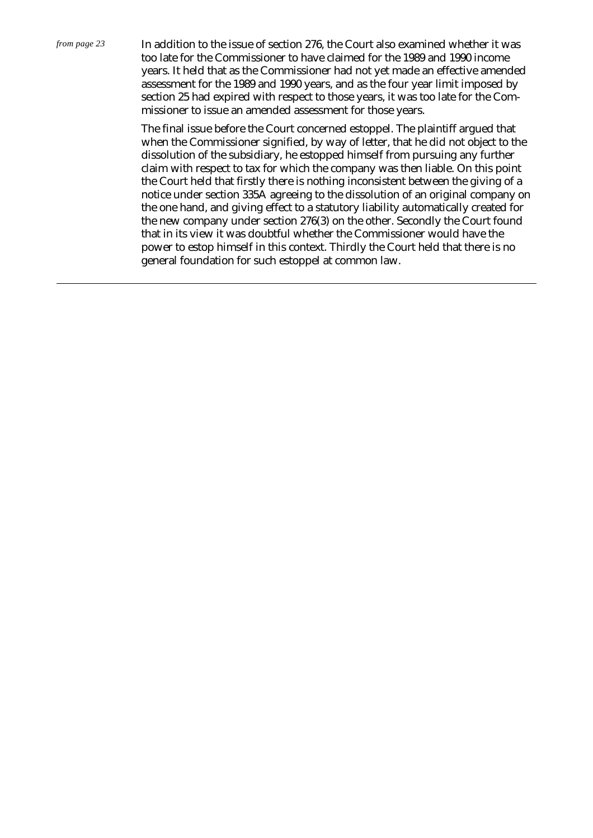In addition to the issue of section 276, the Court also examined whether it was too late for the Commissioner to have claimed for the 1989 and 1990 income years. It held that as the Commissioner had not yet made an effective amended assessment for the 1989 and 1990 years, and as the four year limit imposed by section 25 had expired with respect to those years, it was too late for the Commissioner to issue an amended assessment for those years.

The final issue before the Court concerned estoppel. The plaintiff argued that when the Commissioner signified, by way of letter, that he did not object to the dissolution of the subsidiary, he estopped himself from pursuing any further claim with respect to tax for which the company was then liable. On this point the Court held that firstly there is nothing inconsistent between the giving of a notice under section 335A agreeing to the dissolution of an original company on the one hand, and giving effect to a statutory liability automatically created for the new company under section 276(3) on the other. Secondly the Court found that in its view it was doubtful whether the Commissioner would have the power to estop himself in this context. Thirdly the Court held that there is no general foundation for such estoppel at common law.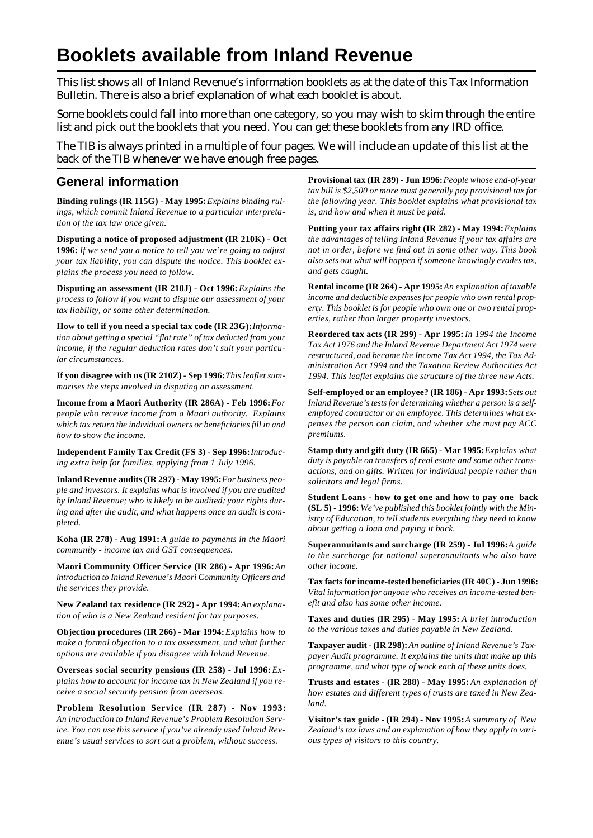# **Booklets available from Inland Revenue**

This list shows all of Inland Revenue's information booklets as at the date of this Tax Information Bulletin. There is also a brief explanation of what each booklet is about.

Some booklets could fall into more than one category, so you may wish to skim through the entire list and pick out the booklets that you need. You can get these booklets from any IRD office.

The TIB is always printed in a multiple of four pages. We will include an update of this list at the back of the TIB whenever we have enough free pages.

## **General information**

**Binding rulings (IR 115G) - May 1995:***Explains binding rulings, which commit Inland Revenue to a particular interpretation of the tax law once given.*

**Disputing a notice of proposed adjustment (IR 210K) - Oct 1996:** *If we send you a notice to tell you we're going to adjust your tax liability, you can dispute the notice. This booklet explains the process you need to follow.*

**Disputing an assessment (IR 210J) - Oct 1996:***Explains the process to follow if you want to dispute our assessment of your tax liability, or some other determination.*

**How to tell if you need a special tax code (IR 23G):** *Information about getting a special "flat rate" of tax deducted from your income, if the regular deduction rates don't suit your particular circumstances.*

If you disagree with us (IR 210Z) - Sep 1996: This leaflet sum*marises the steps involved in disputing an assessment.*

**Income from a Maori Authority (IR 286A) - Feb 1996:** *For people who receive income from a Maori authority. Explains which tax return the individual owners or beneficiaries fill in and how to show the income.*

**Independent Family Tax Credit (FS 3) - Sep 1996:** *Introducing extra help for families, applying from 1 July 1996.*

**Inland Revenue audits (IR 297) - May 1995:** *For business people and investors. It explains what is involved if you are audited by Inland Revenue; who is likely to be audited; your rights during and after the audit, and what happens once an audit is completed.*

**Koha (IR 278) - Aug 1991:** *A guide to payments in the Maori community - income tax and GST consequences.*

Maori Community Officer Service (IR 286) - Apr 1996: An *introduction to Inland Revenue's Maori Community Officers and the services they provide.*

New Zealand tax residence (IR 292) - Apr 1994: An explana*tion of who is a New Zealand resident for tax purposes.*

**Objection procedures (IR 266) - Mar 1994:** *Explains how to make a formal objection to a tax assessment, and what further options are available if you disagree with Inland Revenue.*

Overseas social security pensions (IR 258) - Jul 1996: *Explains how to account for income tax in New Zealand if you receive a social security pension from overseas.*

**Problem Resolution Service (IR 287) - Nov 1993:** *An introduction to Inland Revenue's Problem Resolution Service. You can use this service if you've already used Inland Revenue's usual services to sort out a problem, without success.*

**Provisional tax (IR 289) - Jun 1996:** *People whose end-of-year tax bill is \$2,500 or more must generally pay provisional tax for the following year. This booklet explains what provisional tax is, and how and when it must be paid.*

**Putting your tax affairs right (IR 282) - May 1994:** *Explains the advantages of telling Inland Revenue if your tax affairs are not in order, before we find out in some other way. This book also sets out what will happen if someone knowingly evades tax, and gets caught.*

**Rental income (IR 264) - Apr 1995:** *An explanation of taxable income and deductible expenses for people who own rental property. This booklet is for people who own one or two rental properties, rather than larger property investors.*

**Reordered tax acts (IR 299) - Apr 1995:** *In 1994 the Income Tax Act 1976 and the Inland Revenue Department Act 1974 were restructured, and became the Income Tax Act 1994, the Tax Administration Act 1994 and the Taxation Review Authorities Act 1994. This leaflet explains the structure of the three new Acts.*

**Self-employed or an employee? (IR 186) - Apr 1993:** *Sets out Inland Revenue's tests for determining whether a person is a selfemployed contractor or an employee. This determines what expenses the person can claim, and whether s/he must pay ACC premiums.*

**Stamp duty and gift duty (IR 665) - Mar 1995:** *Explains what duty is payable on transfers of real estate and some other transactions, and on gifts. Written for individual people rather than solicitors and legal firms.*

**Student Loans - how to get one and how to pay one back (SL 5) - 1996:** *We've published this booklet jointly with the Ministry of Education, to tell students everything they need to know about getting a loan and paying it back.*

**Superannuitants and surcharge (IR 259) - Jul 1996:**A guide *to the surcharge for national superannuitants who also have other income.*

**Tax facts for income-tested beneficiaries (IR 40C) - Jun 1996:** *Vital information for anyone who receives an income-tested benefit and also has some other income.*

**Taxes and duties (IR 295) - May 1995:** *A brief introduction to the various taxes and duties payable in New Zealand.*

**Taxpayer audit - (IR 298):** *An outline of Inland Revenue's Taxpayer Audit programme. It explains the units that make up this programme, and what type of work each of these units does.*

**Trusts and estates - (IR 288) - May 1995:** *An explanation of how estates and different types of trusts are taxed in New Zealand.*

**Visitor's tax guide - (IR 294) - Nov 1995:** *A summary of New Zealand's tax laws and an explanation of how they apply to various types of visitors to this country.*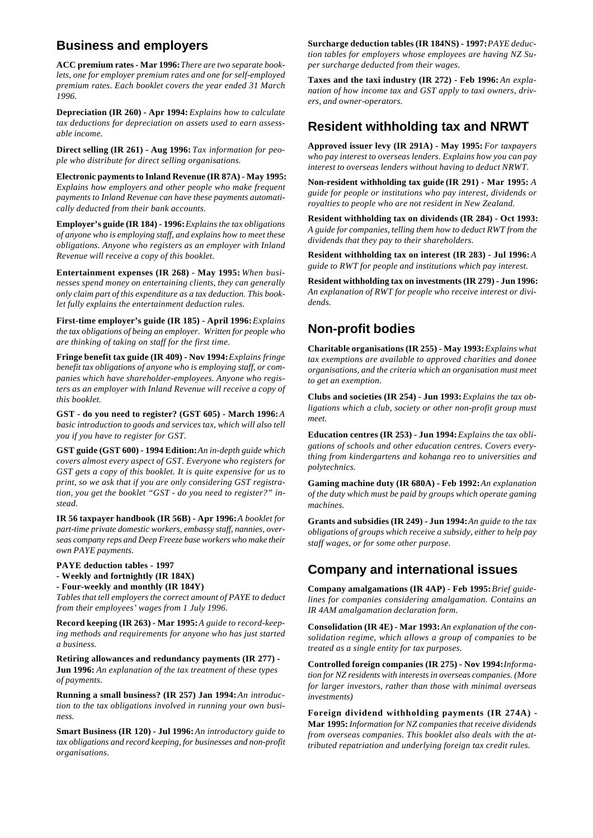# **Business and employers**

**ACC premium rates - Mar 1996:** *There are two separate booklets, one for employer premium rates and one for self-employed premium rates. Each booklet covers the year ended 31 March 1996.*

**Depreciation (IR 260) - Apr 1994:** *Explains how to calculate tax deductions for depreciation on assets used to earn assessable income.*

**Direct selling (IR 261) - Aug 1996:** *Tax information for people who distribute for direct selling organisations.*

**Electronic payments to Inland Revenue (IR 87A) - May 1995:** *Explains how employers and other people who make frequent payments to Inland Revenue can have these payments automatically deducted from their bank accounts.*

**Employer's guide (IR 184) - 1996:** *Explains the tax obligations of anyone who is employing staff, and explains how to meet these obligations. Anyone who registers as an employer with Inland Revenue will receive a copy of this booklet.*

**Entertainment expenses (IR 268) - May 1995:** *When businesses spend money on entertaining clients, they can generally only claim part of this expenditure as a tax deduction. This booklet fully explains the entertainment deduction rules.*

First-time employer's guide (IR 185) - April 1996: *Explains the tax obligations of being an employer. Written for people who are thinking of taking on staff for the first time.*

**Fringe benefit tax guide (IR 409) - Nov 1994:** *Explains fringe benefit tax obligations of anyone who is employing staff, or companies which have shareholder-employees. Anyone who registers as an employer with Inland Revenue will receive a copy of this booklet.*

**GST - do you need to register? (GST 605) - March 1996:** *A basic introduction to goods and services tax, which will also tell you if you have to register for GST.*

**GST guide (GST 600) - 1994 Edition:** *An in-depth guide which covers almost every aspect of GST. Everyone who registers for GST gets a copy of this booklet. It is quite expensive for us to print, so we ask that if you are only considering GST registration, you get the booklet "GST - do you need to register?" instead.*

**IR 56 taxpayer handbook (IR 56B) - Apr 1996:** *A booklet for part-time private domestic workers, embassy staff, nannies, overseas company reps and Deep Freeze base workers who make their own PAYE payments.*

**PAYE deduction tables - 1997**

- **Weekly and fortnightly (IR 184X)**
- **Four-weekly and monthly (IR 184Y)**

*Tables that tell employers the correct amount of PAYE to deduct from their employees' wages from 1 July 1996.*

**Record keeping (IR 263) - Mar 1995:** *A guide to record-keeping methods and requirements for anyone who has just started a business.*

**Retiring allowances and redundancy payments (IR 277) - Jun 1996:** *An explanation of the tax treatment of these types of payments.*

**Running a small business? (IR 257) Jan 1994:** An introduc*tion to the tax obligations involved in running your own business.*

**Smart Business (IR 120) - Jul 1996:** *An introductory guide to tax obligations and record keeping, for businesses and non-profit organisations.*

Surcharge deduction tables (IR 184NS) - 1997: PAYE deduc*tion tables for employers whose employees are having NZ Super surcharge deducted from their wages.*

Taxes and the taxi industry (IR 272) - Feb 1996: An expla*nation of how income tax and GST apply to taxi owners, drivers, and owner-operators.*

# **Resident withholding tax and NRWT**

**Approved issuer levy (IR 291A) - May 1995:** *For taxpayers who pay interest to overseas lenders. Explains how you can pay interest to overseas lenders without having to deduct NRWT.*

**Non-resident withholding tax guide (IR 291) - Mar 1995:** *A guide for people or institutions who pay interest, dividends or royalties to people who are not resident in New Zealand.*

**Resident withholding tax on dividends (IR 284) - Oct 1993:** *A guide for companies, telling them how to deduct RWT from the dividends that they pay to their shareholders.*

**Resident withholding tax on interest (IR 283) - Jul 1996:***A guide to RWT for people and institutions which pay interest.*

**Resident withholding tax on investments (IR 279) - Jun 1996:** *An explanation of RWT for people who receive interest or dividends.*

# **Non-profit bodies**

**Charitable organisations (IR 255) - May 1993:***Explains what tax exemptions are available to approved charities and donee organisations, and the criteria which an organisation must meet to get an exemption.*

**Clubs and societies (IR 254) - Jun 1993:***Explains the tax obligations which a club, society or other non-profit group must meet.*

**Education centres (IR 253) - Jun 1994:***Explains the tax obligations of schools and other education centres. Covers everything from kindergartens and kohanga reo to universities and polytechnics.*

**Gaming machine duty (IR 680A) - Feb 1992:***An explanation of the duty which must be paid by groups which operate gaming machines.*

**Grants and subsidies (IR 249) - Jun 1994:***An guide to the tax obligations of groups which receive a subsidy, either to help pay staff wages, or for some other purpose.*

# **Company and international issues**

**Company amalgamations (IR 4AP) - Feb 1995:** *Brief guidelines for companies considering amalgamation. Contains an IR 4AM amalgamation declaration form.*

**Consolidation (IR 4E) - Mar 1993:***An explanation of the consolidation regime, which allows a group of companies to be treated as a single entity for tax purposes.*

**Controlled foreign companies (IR 275) - Nov 1994:***Information for NZ residents with interests in overseas companies. (More for larger investors, rather than those with minimal overseas investments)*

**Foreign dividend withholding payments (IR 274A) - Mar 1995:***Information for NZ companies that receive dividends from overseas companies. This booklet also deals with the attributed repatriation and underlying foreign tax credit rules.*